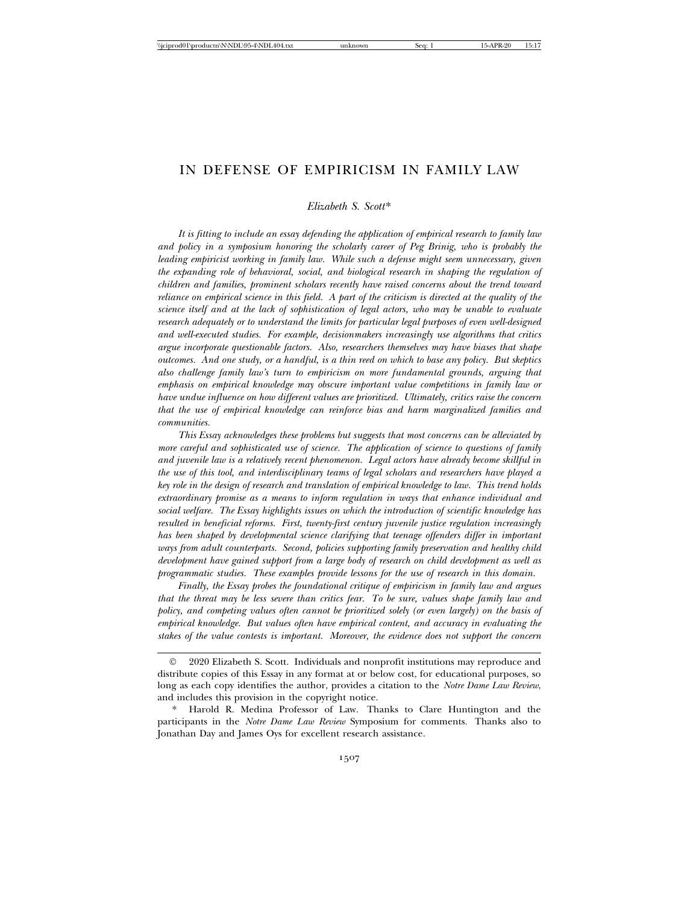# IN DEFENSE OF EMPIRICISM IN FAMILY LAW

*Elizabeth S. Scott*\*

*It is fitting to include an essay defending the application of empirical research to family law and policy in a symposium honoring the scholarly career of Peg Brinig, who is probably the leading empiricist working in family law. While such a defense might seem unnecessary, given the expanding role of behavioral, social, and biological research in shaping the regulation of children and families, prominent scholars recently have raised concerns about the trend toward reliance on empirical science in this field. A part of the criticism is directed at the quality of the science itself and at the lack of sophistication of legal actors, who may be unable to evaluate research adequately or to understand the limits for particular legal purposes of even well-designed and well-executed studies. For example, decisionmakers increasingly use algorithms that critics argue incorporate questionable factors. Also, researchers themselves may have biases that shape outcomes. And one study, or a handful, is a thin reed on which to base any policy. But skeptics also challenge family law's turn to empiricism on more fundamental grounds, arguing that emphasis on empirical knowledge may obscure important value competitions in family law or have undue influence on how different values are prioritized. Ultimately, critics raise the concern that the use of empirical knowledge can reinforce bias and harm marginalized families and communities.*

*This Essay acknowledges these problems but suggests that most concerns can be alleviated by more careful and sophisticated use of science. The application of science to questions of family and juvenile law is a relatively recent phenomenon. Legal actors have already become skillful in the use of this tool, and interdisciplinary teams of legal scholars and researchers have played a key role in the design of research and translation of empirical knowledge to law. This trend holds extraordinary promise as a means to inform regulation in ways that enhance individual and social welfare. The Essay highlights issues on which the introduction of scientific knowledge has resulted in beneficial reforms. First, twenty-first century juvenile justice regulation increasingly has been shaped by developmental science clarifying that teenage offenders differ in important ways from adult counterparts. Second, policies supporting family preservation and healthy child development have gained support from a large body of research on child development as well as programmatic studies. These examples provide lessons for the use of research in this domain.*

*Finally, the Essay probes the foundational critique of empiricism in family law and argues that the threat may be less severe than critics fear. To be sure, values shape family law and policy, and competing values often cannot be prioritized solely (or even largely) on the basis of empirical knowledge. But values often have empirical content, and accuracy in evaluating the stakes of the value contests is important. Moreover, the evidence does not support the concern*

<sup>©</sup> 2020 Elizabeth S. Scott. Individuals and nonprofit institutions may reproduce and distribute copies of this Essay in any format at or below cost, for educational purposes, so long as each copy identifies the author, provides a citation to the *Notre Dame Law Review*, and includes this provision in the copyright notice.

Harold R. Medina Professor of Law. Thanks to Clare Huntington and the participants in the *Notre Dame Law Review* Symposium for comments. Thanks also to Jonathan Day and James Oys for excellent research assistance.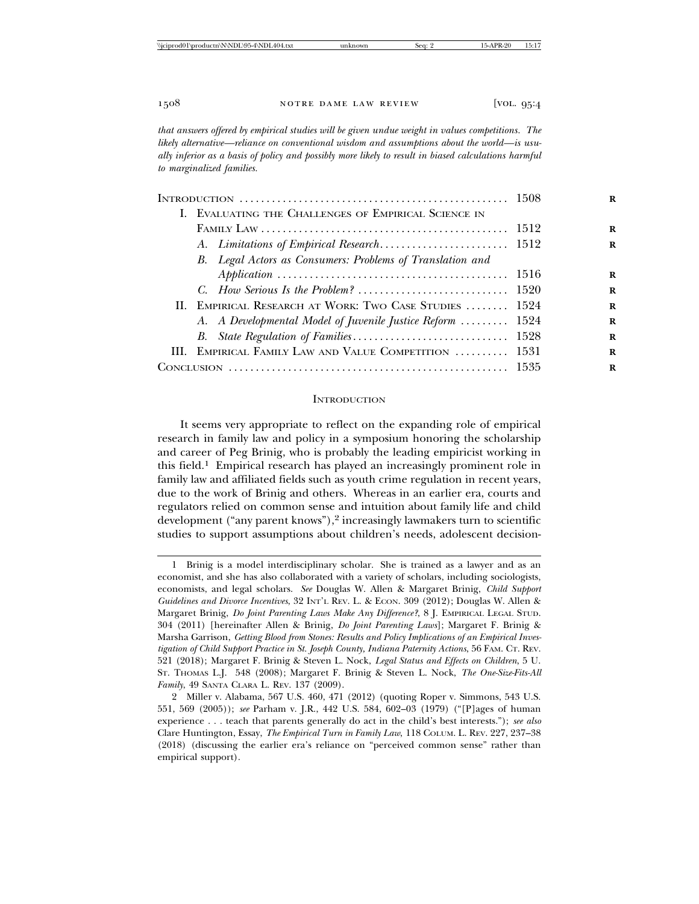*that answers offered by empirical studies will be given undue weight in values competitions. The likely alternative—reliance on conventional wisdom and assumptions about the world—is usually inferior as a basis of policy and possibly more likely to result in biased calculations harmful to marginalized families.*

|  | I. EVALUATING THE CHALLENGES OF EMPIRICAL SCIENCE IN      |  |
|--|-----------------------------------------------------------|--|
|  |                                                           |  |
|  |                                                           |  |
|  | B. Legal Actors as Consumers: Problems of Translation and |  |
|  |                                                           |  |
|  |                                                           |  |
|  | II. EMPIRICAL RESEARCH AT WORK: TWO CASE STUDIES  1524    |  |
|  | A. A Developmental Model of Juvenile Justice Reform  1524 |  |
|  |                                                           |  |
|  | III. EMPIRICAL FAMILY LAW AND VALUE COMPETITION  1531     |  |
|  |                                                           |  |

#### **INTRODUCTION**

It seems very appropriate to reflect on the expanding role of empirical research in family law and policy in a symposium honoring the scholarship and career of Peg Brinig, who is probably the leading empiricist working in this field.1 Empirical research has played an increasingly prominent role in family law and affiliated fields such as youth crime regulation in recent years, due to the work of Brinig and others. Whereas in an earlier era, courts and regulators relied on common sense and intuition about family life and child development ("any parent knows"),<sup>2</sup> increasingly lawmakers turn to scientific studies to support assumptions about children's needs, adolescent decision-

<sup>1</sup> Brinig is a model interdisciplinary scholar. She is trained as a lawyer and as an economist, and she has also collaborated with a variety of scholars, including sociologists, economists, and legal scholars. *See* Douglas W. Allen & Margaret Brinig, *Child Support Guidelines and Divorce Incentives*, 32 INT'L REV. L. & ECON. 309 (2012); Douglas W. Allen & Margaret Brinig, *Do Joint Parenting Laws Make Any Difference?*, 8 J. EMPIRICAL LEGAL STUD. 304 (2011) [hereinafter Allen & Brinig, *Do Joint Parenting Laws*]; Margaret F. Brinig & Marsha Garrison, *Getting Blood from Stones: Results and Policy Implications of an Empirical Investigation of Child Support Practice in St. Joseph County, Indiana Paternity Actions*, 56 FAM. CT. REV. 521 (2018); Margaret F. Brinig & Steven L. Nock, *Legal Status and Effects on Children*, 5 U. ST. THOMAS L.J. 548 (2008); Margaret F. Brinig & Steven L. Nock, *The One-Size-Fits-All Family*, 49 SANTA CLARA L. REV. 137 (2009).

<sup>2</sup> Miller v. Alabama, 567 U.S. 460, 471 (2012) (quoting Roper v. Simmons, 543 U.S. 551, 569 (2005)); *see* Parham v. J.R., 442 U.S. 584, 602–03 (1979) ("[P]ages of human experience . . . teach that parents generally do act in the child's best interests."); *see also* Clare Huntington, Essay, *The Empirical Turn in Family Law*, 118 COLUM. L. REV. 227, 237–38 (2018) (discussing the earlier era's reliance on "perceived common sense" rather than empirical support).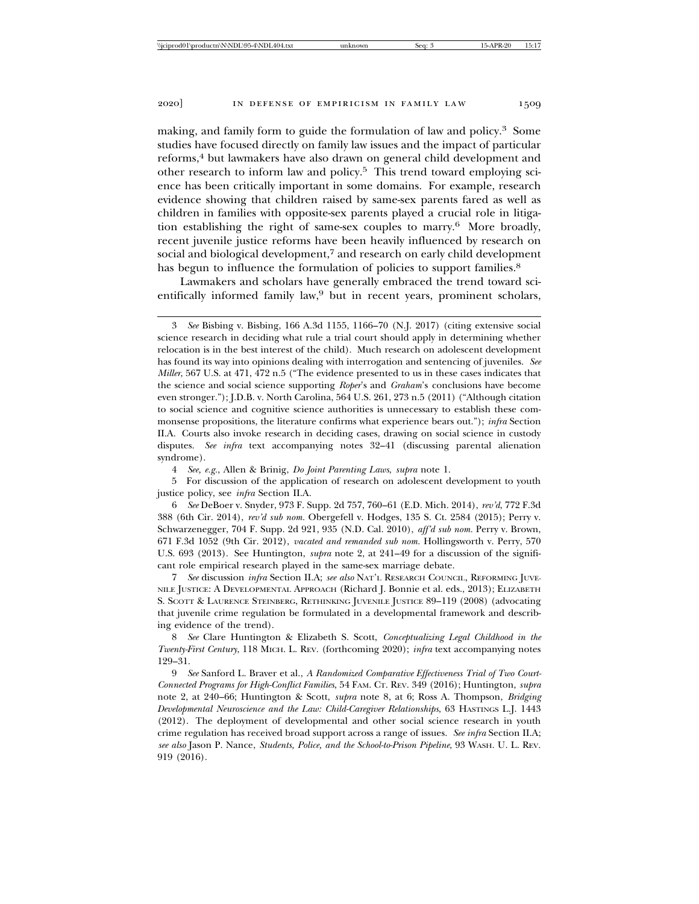making, and family form to guide the formulation of law and policy.3 Some studies have focused directly on family law issues and the impact of particular reforms,<sup>4</sup> but lawmakers have also drawn on general child development and other research to inform law and policy.5 This trend toward employing science has been critically important in some domains. For example, research evidence showing that children raised by same-sex parents fared as well as children in families with opposite-sex parents played a crucial role in litigation establishing the right of same-sex couples to marry.6 More broadly, recent juvenile justice reforms have been heavily influenced by research on social and biological development,<sup>7</sup> and research on early child development has begun to influence the formulation of policies to support families.<sup>8</sup>

Lawmakers and scholars have generally embraced the trend toward scientifically informed family law,<sup>9</sup> but in recent years, prominent scholars,

4 *See, e.g.*, Allen & Brinig, *Do Joint Parenting Laws*, *supra* note 1.

5 For discussion of the application of research on adolescent development to youth justice policy, see *infra* Section II.A.

7 *See* discussion *infra* Section II.A; *see also* NAT'L RESEARCH COUNCIL, REFORMING JUVE-NILE JUSTICE: A DEVELOPMENTAL APPROACH (Richard J. Bonnie et al. eds., 2013); ELIZABETH S. SCOTT & LAURENCE STEINBERG, RETHINKING JUVENILE JUSTICE 89-119 (2008) (advocating that juvenile crime regulation be formulated in a developmental framework and describing evidence of the trend).

8 *See* Clare Huntington & Elizabeth S. Scott, *Conceptualizing Legal Childhood in the Twenty-First Century*, 118 MICH. L. REV. (forthcoming 2020); *infra* text accompanying notes 129–31.

9 *See* Sanford L. Braver et al., *A Randomized Comparative Effectiveness Trial of Two Court-Connected Programs for High-Conflict Families*, 54 FAM. CT. REV. 349 (2016); Huntington, *supra* note 2, at 240–66; Huntington & Scott, *supra* note 8, at 6; Ross A. Thompson, *Bridging Developmental Neuroscience and the Law: Child-Caregiver Relationships*, 63 HASTINGS L.J. 1443 (2012). The deployment of developmental and other social science research in youth crime regulation has received broad support across a range of issues. *See infra* Section II.A; *see also* Jason P. Nance, *Students, Police, and the School-to-Prison Pipeline*, 93 WASH. U. L. REV. 919 (2016).

<sup>3</sup> *See* Bisbing v. Bisbing, 166 A.3d 1155, 1166–70 (N.J. 2017) (citing extensive social science research in deciding what rule a trial court should apply in determining whether relocation is in the best interest of the child). Much research on adolescent development has found its way into opinions dealing with interrogation and sentencing of juveniles. *See Miller*, 567 U.S. at 471, 472 n.5 ("The evidence presented to us in these cases indicates that the science and social science supporting *Roper*'s and *Graham*'s conclusions have become even stronger."); J.D.B. v. North Carolina, 564 U.S. 261, 273 n.5 (2011) ("Although citation to social science and cognitive science authorities is unnecessary to establish these commonsense propositions, the literature confirms what experience bears out."); *infra* Section II.A. Courts also invoke research in deciding cases, drawing on social science in custody disputes. *See infra* text accompanying notes 32–41 (discussing parental alienation syndrome).

<sup>6</sup> *See* DeBoer v. Snyder, 973 F. Supp. 2d 757, 760–61 (E.D. Mich. 2014), *rev'd*, 772 F.3d 388 (6th Cir. 2014), *rev'd sub nom.* Obergefell v. Hodges, 135 S. Ct. 2584 (2015); Perry v. Schwarzenegger, 704 F. Supp. 2d 921, 935 (N.D. Cal. 2010), *aff'd sub nom.* Perry v. Brown, 671 F.3d 1052 (9th Cir. 2012), *vacated and remanded sub nom.* Hollingsworth v. Perry, 570 U.S. 693 (2013). See Huntington, *supra* note 2, at 241–49 for a discussion of the significant role empirical research played in the same-sex marriage debate.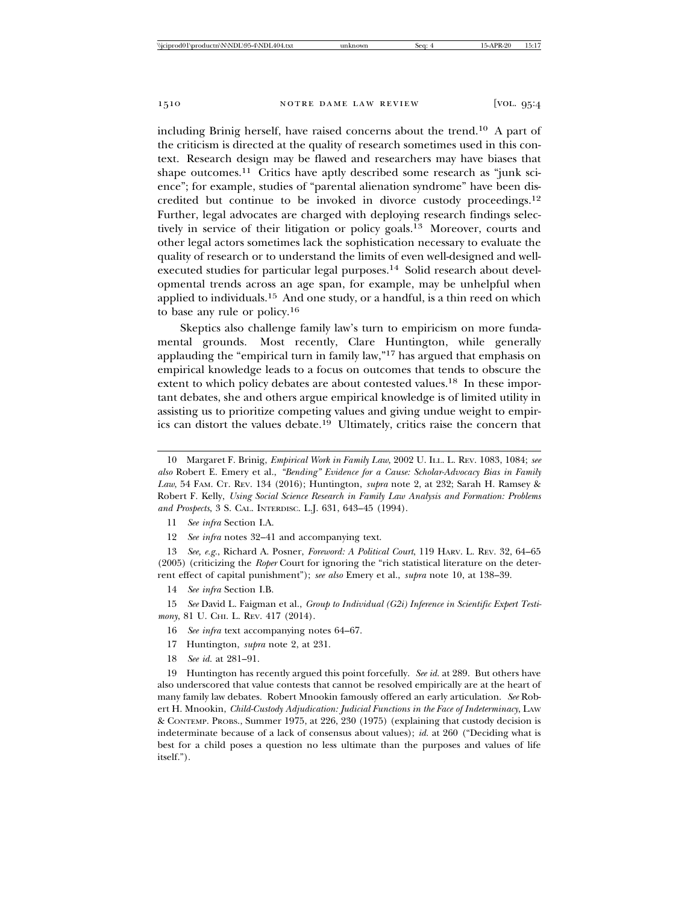including Brinig herself, have raised concerns about the trend.10 A part of the criticism is directed at the quality of research sometimes used in this context. Research design may be flawed and researchers may have biases that shape outcomes.<sup>11</sup> Critics have aptly described some research as "junk science"; for example, studies of "parental alienation syndrome" have been discredited but continue to be invoked in divorce custody proceedings.12 Further, legal advocates are charged with deploying research findings selectively in service of their litigation or policy goals.13 Moreover, courts and other legal actors sometimes lack the sophistication necessary to evaluate the quality of research or to understand the limits of even well-designed and wellexecuted studies for particular legal purposes.<sup>14</sup> Solid research about developmental trends across an age span, for example, may be unhelpful when applied to individuals.15 And one study, or a handful, is a thin reed on which to base any rule or policy.16

Skeptics also challenge family law's turn to empiricism on more fundamental grounds. Most recently, Clare Huntington, while generally applauding the "empirical turn in family law,"17 has argued that emphasis on empirical knowledge leads to a focus on outcomes that tends to obscure the extent to which policy debates are about contested values.<sup>18</sup> In these important debates, she and others argue empirical knowledge is of limited utility in assisting us to prioritize competing values and giving undue weight to empirics can distort the values debate.19 Ultimately, critics raise the concern that

12 *See infra* notes 32–41 and accompanying text.

13 *See, e.g.*, Richard A. Posner, *Foreword: A Political Court*, 119 HARV. L. REV. 32, 64–65 (2005) (criticizing the *Roper* Court for ignoring the "rich statistical literature on the deterrent effect of capital punishment"); *see also* Emery et al., *supra* note 10, at 138–39.

14 *See infra* Section I.B.

15 *See* David L. Faigman et al., *Group to Individual (G2i) Inference in Scientific Expert Testimony*, 81 U. CHI. L. REV. 417 (2014).

16 *See infra* text accompanying notes 64–67.

- 17 Huntington, *supra* note 2, at 231.
- 18 *See id.* at 281–91.

19 Huntington has recently argued this point forcefully. *See id.* at 289. But others have also underscored that value contests that cannot be resolved empirically are at the heart of many family law debates. Robert Mnookin famously offered an early articulation. *See* Robert H. Mnookin, *Child-Custody Adjudication: Judicial Functions in the Face of Indeterminacy*, LAW & CONTEMP. PROBS., Summer 1975, at 226, 230 (1975) (explaining that custody decision is indeterminate because of a lack of consensus about values); *id.* at 260 ("Deciding what is best for a child poses a question no less ultimate than the purposes and values of life itself.").

<sup>10</sup> Margaret F. Brinig, *Empirical Work in Family Law*, 2002 U. ILL. L. REV. 1083, 1084; *see also* Robert E. Emery et al., *"Bending" Evidence for a Cause: Scholar-Advocacy Bias in Family Law*, 54 FAM. CT. REV. 134 (2016); Huntington, *supra* note 2, at 232; Sarah H. Ramsey & Robert F. Kelly, *Using Social Science Research in Family Law Analysis and Formation: Problems and Prospects*, 3 S. CAL. INTERDISC. L.J. 631, 643–45 (1994).

<sup>11</sup> *See infra* Section I.A.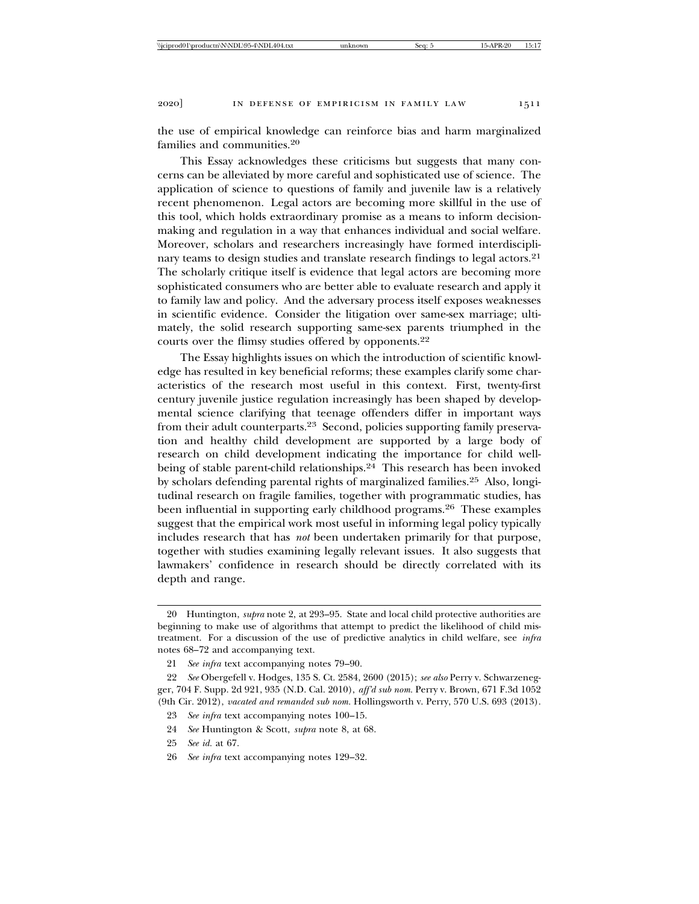the use of empirical knowledge can reinforce bias and harm marginalized families and communities.20

This Essay acknowledges these criticisms but suggests that many concerns can be alleviated by more careful and sophisticated use of science. The application of science to questions of family and juvenile law is a relatively recent phenomenon. Legal actors are becoming more skillful in the use of this tool, which holds extraordinary promise as a means to inform decisionmaking and regulation in a way that enhances individual and social welfare. Moreover, scholars and researchers increasingly have formed interdisciplinary teams to design studies and translate research findings to legal actors.<sup>21</sup> The scholarly critique itself is evidence that legal actors are becoming more sophisticated consumers who are better able to evaluate research and apply it to family law and policy. And the adversary process itself exposes weaknesses in scientific evidence. Consider the litigation over same-sex marriage; ultimately, the solid research supporting same-sex parents triumphed in the courts over the flimsy studies offered by opponents.22

The Essay highlights issues on which the introduction of scientific knowledge has resulted in key beneficial reforms; these examples clarify some characteristics of the research most useful in this context. First, twenty-first century juvenile justice regulation increasingly has been shaped by developmental science clarifying that teenage offenders differ in important ways from their adult counterparts.<sup>23</sup> Second, policies supporting family preservation and healthy child development are supported by a large body of research on child development indicating the importance for child wellbeing of stable parent-child relationships.<sup>24</sup> This research has been invoked by scholars defending parental rights of marginalized families.25 Also, longitudinal research on fragile families, together with programmatic studies, has been influential in supporting early childhood programs.26 These examples suggest that the empirical work most useful in informing legal policy typically includes research that has *not* been undertaken primarily for that purpose, together with studies examining legally relevant issues. It also suggests that lawmakers' confidence in research should be directly correlated with its depth and range.

24 *See* Huntington & Scott, *supra* note 8, at 68.

<sup>20</sup> Huntington, *supra* note 2, at 293–95. State and local child protective authorities are beginning to make use of algorithms that attempt to predict the likelihood of child mistreatment. For a discussion of the use of predictive analytics in child welfare, see *infra* notes 68–72 and accompanying text.

<sup>21</sup> *See infra* text accompanying notes 79–90.

<sup>22</sup> *See* Obergefell v. Hodges, 135 S. Ct. 2584, 2600 (2015); *see also* Perry v. Schwarzenegger, 704 F. Supp. 2d 921, 935 (N.D. Cal. 2010), *aff'd sub nom.* Perry v. Brown, 671 F.3d 1052 (9th Cir. 2012), *vacated and remanded sub nom.* Hollingsworth v. Perry, 570 U.S. 693 (2013).

<sup>23</sup> *See infra* text accompanying notes 100–15.

<sup>25</sup> *See id.* at 67.

<sup>26</sup> *See infra* text accompanying notes 129–32.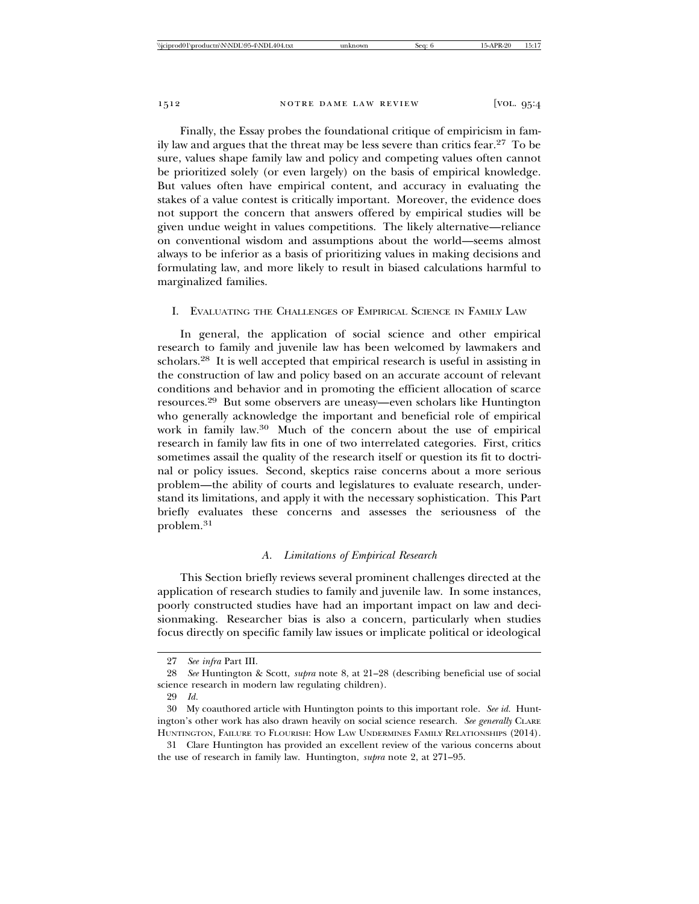Finally, the Essay probes the foundational critique of empiricism in family law and argues that the threat may be less severe than critics fear.27 To be sure, values shape family law and policy and competing values often cannot be prioritized solely (or even largely) on the basis of empirical knowledge. But values often have empirical content, and accuracy in evaluating the stakes of a value contest is critically important. Moreover, the evidence does not support the concern that answers offered by empirical studies will be given undue weight in values competitions. The likely alternative—reliance on conventional wisdom and assumptions about the world—seems almost always to be inferior as a basis of prioritizing values in making decisions and formulating law, and more likely to result in biased calculations harmful to marginalized families.

### I. EVALUATING THE CHALLENGES OF EMPIRICAL SCIENCE IN FAMILY LAW

In general, the application of social science and other empirical research to family and juvenile law has been welcomed by lawmakers and scholars.28 It is well accepted that empirical research is useful in assisting in the construction of law and policy based on an accurate account of relevant conditions and behavior and in promoting the efficient allocation of scarce resources.29 But some observers are uneasy—even scholars like Huntington who generally acknowledge the important and beneficial role of empirical work in family law.30 Much of the concern about the use of empirical research in family law fits in one of two interrelated categories. First, critics sometimes assail the quality of the research itself or question its fit to doctrinal or policy issues. Second, skeptics raise concerns about a more serious problem—the ability of courts and legislatures to evaluate research, understand its limitations, and apply it with the necessary sophistication. This Part briefly evaluates these concerns and assesses the seriousness of the problem.<sup>31</sup>

## *A. Limitations of Empirical Research*

This Section briefly reviews several prominent challenges directed at the application of research studies to family and juvenile law. In some instances, poorly constructed studies have had an important impact on law and decisionmaking. Researcher bias is also a concern, particularly when studies focus directly on specific family law issues or implicate political or ideological

<sup>27</sup> *See infra* Part III.

<sup>28</sup> *See* Huntington & Scott, *supra* note 8, at 21–28 (describing beneficial use of social science research in modern law regulating children).

<sup>29</sup> *Id.*

<sup>30</sup> My coauthored article with Huntington points to this important role. *See id.* Huntington's other work has also drawn heavily on social science research. *See generally* CLARE HUNTINGTON, FAILURE TO FLOURISH: HOW LAW UNDERMINES FAMILY RELATIONSHIPS (2014).

<sup>31</sup> Clare Huntington has provided an excellent review of the various concerns about the use of research in family law. Huntington, *supra* note 2, at 271–95.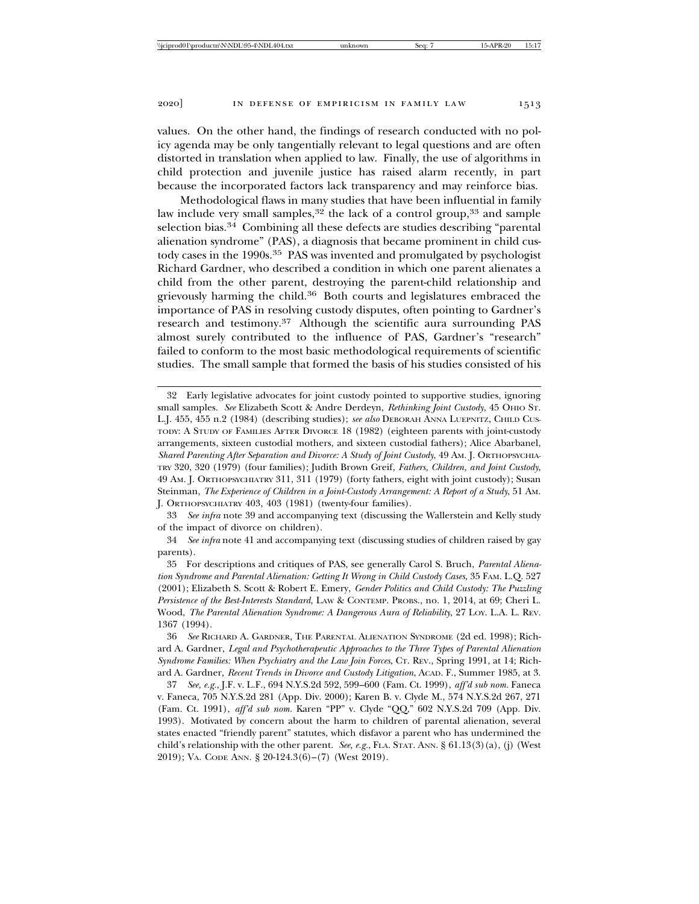values. On the other hand, the findings of research conducted with no policy agenda may be only tangentially relevant to legal questions and are often distorted in translation when applied to law. Finally, the use of algorithms in child protection and juvenile justice has raised alarm recently, in part because the incorporated factors lack transparency and may reinforce bias.

Methodological flaws in many studies that have been influential in family law include very small samples,  $32$  the lack of a control group,  $33$  and sample selection bias.34 Combining all these defects are studies describing "parental alienation syndrome" (PAS), a diagnosis that became prominent in child custody cases in the 1990s.<sup>35</sup> PAS was invented and promulgated by psychologist Richard Gardner, who described a condition in which one parent alienates a child from the other parent, destroying the parent-child relationship and grievously harming the child.<sup>36</sup> Both courts and legislatures embraced the importance of PAS in resolving custody disputes, often pointing to Gardner's research and testimony.37 Although the scientific aura surrounding PAS almost surely contributed to the influence of PAS, Gardner's "research" failed to conform to the most basic methodological requirements of scientific studies. The small sample that formed the basis of his studies consisted of his

33 *See infra* note 39 and accompanying text (discussing the Wallerstein and Kelly study of the impact of divorce on children).

34 *See infra* note 41 and accompanying text (discussing studies of children raised by gay parents).

35 For descriptions and critiques of PAS, see generally Carol S. Bruch, *Parental Alienation Syndrome and Parental Alienation: Getting It Wrong in Child Custody Cases*, 35 FAM. L.Q. 527 (2001); Elizabeth S. Scott & Robert E. Emery, *Gender Politics and Child Custody: The Puzzling Persistence of the Best-Interests Standard*, LAW & CONTEMP. PROBS., no. 1, 2014, at 69; Cheri L. Wood, *The Parental Alienation Syndrome: A Dangerous Aura of Reliability*, 27 LOY. L.A. L. REV. 1367 (1994).

36 *See* RICHARD A. GARDNER, THE PARENTAL ALIENATION SYNDROME (2d ed. 1998); Richard A. Gardner, *Legal and Psychotherapeutic Approaches to the Three Types of Parental Alienation Syndrome Families: When Psychiatry and the Law Join Forces*, CT. REV., Spring 1991, at 14; Richard A. Gardner, *Recent Trends in Divorce and Custody Litigation*, ACAD. F., Summer 1985, at 3.

37 *See, e.g.*, J.F. v. L.F., 694 N.Y.S.2d 592, 599–600 (Fam. Ct. 1999), *aff'd sub nom.* Faneca v. Faneca, 705 N.Y.S.2d 281 (App. Div. 2000); Karen B. v. Clyde M., 574 N.Y.S.2d 267, 271 (Fam. Ct. 1991), *aff'd sub nom.* Karen "PP" v. Clyde "QQ," 602 N.Y.S.2d 709 (App. Div. 1993). Motivated by concern about the harm to children of parental alienation, several states enacted "friendly parent" statutes, which disfavor a parent who has undermined the child's relationship with the other parent. *See, e.g.*, FLA. STAT. ANN. § 61.13(3)(a), (j) (West 2019); VA. CODE ANN. § 20-124.3(6)–(7) (West 2019).

<sup>32</sup> Early legislative advocates for joint custody pointed to supportive studies, ignoring small samples. See Elizabeth Scott & Andre Derdeyn, *Rethinking Joint Custody*, 45 OHIO ST. L.J. 455, 455 n.2 (1984) (describing studies); see also DEBORAH ANNA LUEPNITZ, CHILD CUS-TODY: A STUDY OF FAMILIES AFTER DIVORCE 18 (1982) (eighteen parents with joint-custody arrangements, sixteen custodial mothers, and sixteen custodial fathers); Alice Abarbanel, *Shared Parenting After Separation and Divorce: A Study of Joint Custody*, 49 AM. J. ORTHOPSYCHIA-TRY 320, 320 (1979) (four families); Judith Brown Greif, *Fathers, Children, and Joint Custody*, 49 AM. J. ORTHOPSYCHIATRY 311, 311 (1979) (forty fathers, eight with joint custody); Susan Steinman, *The Experience of Children in a Joint-Custody Arrangement: A Report of a Study*, 51 AM. J. ORTHOPSYCHIATRY 403, 403 (1981) (twenty-four families).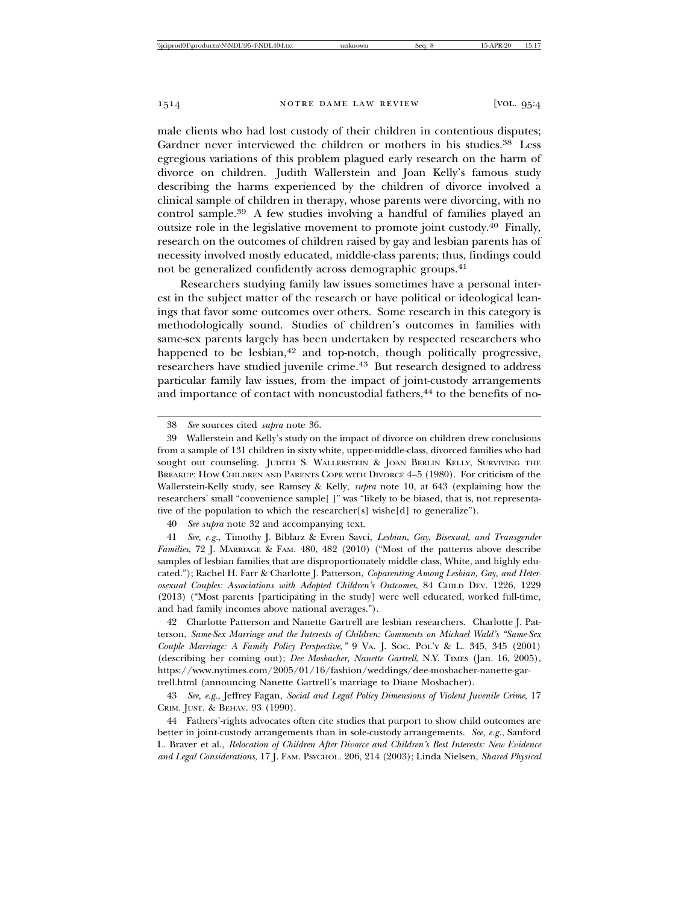male clients who had lost custody of their children in contentious disputes; Gardner never interviewed the children or mothers in his studies.<sup>38</sup> Less egregious variations of this problem plagued early research on the harm of divorce on children. Judith Wallerstein and Joan Kelly's famous study describing the harms experienced by the children of divorce involved a clinical sample of children in therapy, whose parents were divorcing, with no control sample.39 A few studies involving a handful of families played an outsize role in the legislative movement to promote joint custody.40 Finally, research on the outcomes of children raised by gay and lesbian parents has of necessity involved mostly educated, middle-class parents; thus, findings could not be generalized confidently across demographic groups.<sup>41</sup>

Researchers studying family law issues sometimes have a personal interest in the subject matter of the research or have political or ideological leanings that favor some outcomes over others. Some research in this category is methodologically sound. Studies of children's outcomes in families with same-sex parents largely has been undertaken by respected researchers who happened to be lesbian,<sup>42</sup> and top-notch, though politically progressive, researchers have studied juvenile crime.<sup>43</sup> But research designed to address particular family law issues, from the impact of joint-custody arrangements and importance of contact with noncustodial fathers,<sup>44</sup> to the benefits of no-

40 *See supra* note 32 and accompanying text.

41 *See, e.g.*, Timothy J. Biblarz & Evren Savci, *Lesbian, Gay, Bisexual, and Transgender Families*, 72 J. MARRIAGE & FAM. 480, 482 (2010) ("Most of the patterns above describe samples of lesbian families that are disproportionately middle class, White, and highly educated."); Rachel H. Farr & Charlotte J. Patterson, *Coparenting Among Lesbian, Gay, and Heterosexual Couples: Associations with Adopted Children's Outcomes*, 84 CHILD DEV. 1226, 1229 (2013) ("Most parents [participating in the study] were well educated, worked full-time, and had family incomes above national averages.").

42 Charlotte Patterson and Nanette Gartrell are lesbian researchers. Charlotte J. Patterson, *Same-Sex Marriage and the Interests of Children: Comments on Michael Wald's "Same-Sex Couple Marriage: A Family Policy Perspective*,*"* 9 VA. J. SOC. POL'Y & L. 345, 345 (2001) (describing her coming out); *Dee Mosbacher, Nanette Gartrell*, N.Y. TIMES (Jan. 16, 2005), https://www.nytimes.com/2005/01/16/fashion/weddings/dee-mosbacher-nanette-gartrell.html (announcing Nanette Gartrell's marriage to Diane Mosbacher).

43 *See, e.g.*, Jeffrey Fagan, *Social and Legal Policy Dimensions of Violent Juvenile Crime*, 17 CRIM. JUST. & BEHAV. 93 (1990).

44 Fathers'-rights advocates often cite studies that purport to show child outcomes are better in joint-custody arrangements than in sole-custody arrangements. *See, e.g.*, Sanford L. Braver et al., *Relocation of Children After Divorce and Children's Best Interests: New Evidence and Legal Considerations*, 17 J. FAM. PSYCHOL. 206, 214 (2003); Linda Nielsen, *Shared Physical*

<sup>38</sup> *See* sources cited *supra* note 36.

<sup>39</sup> Wallerstein and Kelly's study on the impact of divorce on children drew conclusions from a sample of 131 children in sixty white, upper-middle-class, divorced families who had sought out counseling. JUDITH S. WALLERSTEIN & JOAN BERLIN KELLY, SURVIVING THE BREAKUP: HOW CHILDREN AND PARENTS COPE WITH DIVORCE 4–5 (1980). For criticism of the Wallerstein-Kelly study, see Ramsey & Kelly, *supra* note 10, at 643 (explaining how the researchers' small "convenience sample[ ]" was "likely to be biased, that is, not representative of the population to which the researcher[s] wishe[d] to generalize").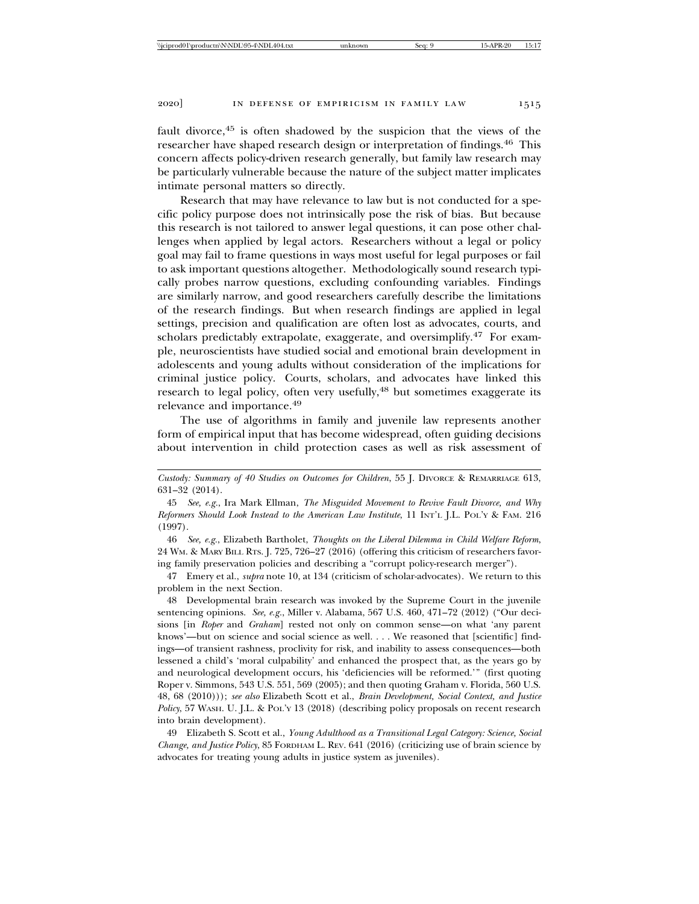fault divorce,<sup>45</sup> is often shadowed by the suspicion that the views of the researcher have shaped research design or interpretation of findings.46 This concern affects policy-driven research generally, but family law research may be particularly vulnerable because the nature of the subject matter implicates intimate personal matters so directly.

Research that may have relevance to law but is not conducted for a specific policy purpose does not intrinsically pose the risk of bias. But because this research is not tailored to answer legal questions, it can pose other challenges when applied by legal actors. Researchers without a legal or policy goal may fail to frame questions in ways most useful for legal purposes or fail to ask important questions altogether. Methodologically sound research typically probes narrow questions, excluding confounding variables. Findings are similarly narrow, and good researchers carefully describe the limitations of the research findings. But when research findings are applied in legal settings, precision and qualification are often lost as advocates, courts, and scholars predictably extrapolate, exaggerate, and oversimplify.<sup>47</sup> For example, neuroscientists have studied social and emotional brain development in adolescents and young adults without consideration of the implications for criminal justice policy. Courts, scholars, and advocates have linked this research to legal policy, often very usefully,<sup>48</sup> but sometimes exaggerate its relevance and importance.49

The use of algorithms in family and juvenile law represents another form of empirical input that has become widespread, often guiding decisions about intervention in child protection cases as well as risk assessment of

46 *See, e.g.*, Elizabeth Bartholet, *Thoughts on the Liberal Dilemma in Child Welfare Reform*, 24 WM. & MARY BILL RTS. J. 725, 726–27 (2016) (offering this criticism of researchers favoring family preservation policies and describing a "corrupt policy-research merger").

47 Emery et al., *supra* note 10, at 134 (criticism of scholar-advocates). We return to this problem in the next Section.

48 Developmental brain research was invoked by the Supreme Court in the juvenile sentencing opinions. *See, e.g.*, Miller v. Alabama, 567 U.S. 460, 471–72 (2012) ("Our decisions [in *Roper* and *Graham*] rested not only on common sense—on what 'any parent knows'—but on science and social science as well. . . . We reasoned that [scientific] findings—of transient rashness, proclivity for risk, and inability to assess consequences—both lessened a child's 'moral culpability' and enhanced the prospect that, as the years go by and neurological development occurs, his 'deficiencies will be reformed.'" (first quoting Roper v. Simmons, 543 U.S. 551, 569 (2005); and then quoting Graham v. Florida, 560 U.S. 48, 68 (2010))); *see also* Elizabeth Scott et al., *Brain Development, Social Context, and Justice Policy*, 57 WASH. U. J.L. & POL'Y 13 (2018) (describing policy proposals on recent research into brain development).

49 Elizabeth S. Scott et al., *Young Adulthood as a Transitional Legal Category: Science, Social Change, and Justice Policy*, 85 FORDHAM L. REV. 641 (2016) (criticizing use of brain science by advocates for treating young adults in justice system as juveniles).

*Custody: Summary of 40 Studies on Outcomes for Children*, 55 J. DIVORCE & REMARRIAGE 613, 631–32 (2014).

<sup>45</sup> *See, e.g.*, Ira Mark Ellman, *The Misguided Movement to Revive Fault Divorce, and Why Reformers Should Look Instead to the American Law Institute*, 11 INT'L J.L. POL'Y & FAM. 216 (1997).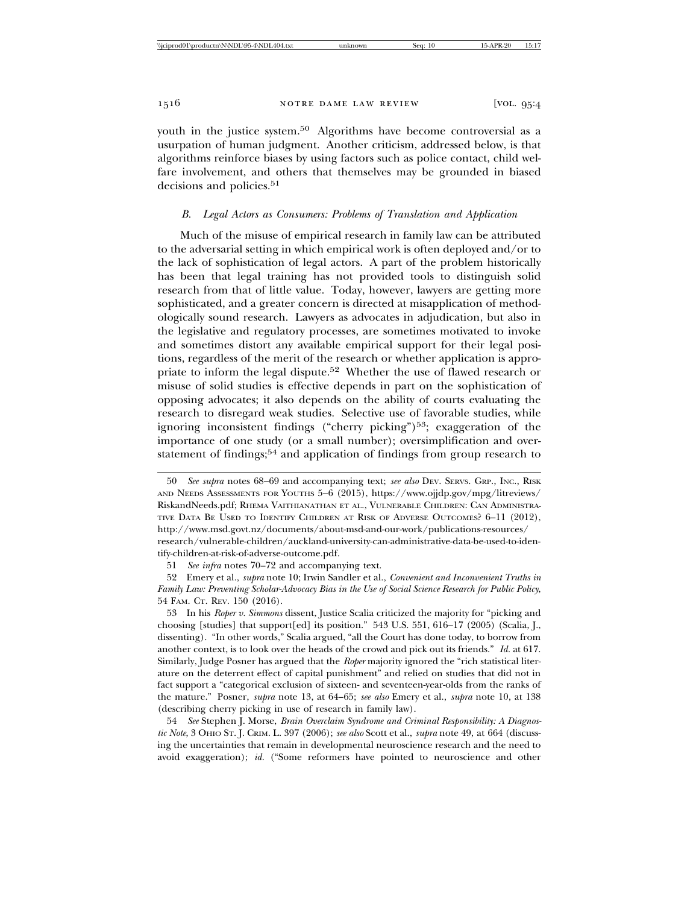youth in the justice system.<sup>50</sup> Algorithms have become controversial as a usurpation of human judgment. Another criticism, addressed below, is that algorithms reinforce biases by using factors such as police contact, child welfare involvement, and others that themselves may be grounded in biased decisions and policies.<sup>51</sup>

## *B. Legal Actors as Consumers: Problems of Translation and Application*

Much of the misuse of empirical research in family law can be attributed to the adversarial setting in which empirical work is often deployed and/or to the lack of sophistication of legal actors. A part of the problem historically has been that legal training has not provided tools to distinguish solid research from that of little value. Today, however, lawyers are getting more sophisticated, and a greater concern is directed at misapplication of methodologically sound research. Lawyers as advocates in adjudication, but also in the legislative and regulatory processes, are sometimes motivated to invoke and sometimes distort any available empirical support for their legal positions, regardless of the merit of the research or whether application is appropriate to inform the legal dispute.52 Whether the use of flawed research or misuse of solid studies is effective depends in part on the sophistication of opposing advocates; it also depends on the ability of courts evaluating the research to disregard weak studies. Selective use of favorable studies, while ignoring inconsistent findings ("cherry picking")<sup>53</sup>; exaggeration of the importance of one study (or a small number); oversimplification and overstatement of findings;<sup>54</sup> and application of findings from group research to

51 *See infra* notes 70–72 and accompanying text.

52 Emery et al., *supra* note 10; Irwin Sandler et al., *Convenient and Inconvenient Truths in Family Law: Preventing Scholar-Advocacy Bias in the Use of Social Science Research for Public Policy*, 54 FAM. CT. REV. 150 (2016).

53 In his *Roper v. Simmons* dissent, Justice Scalia criticized the majority for "picking and choosing [studies] that support[ed] its position." 543 U.S. 551, 616–17 (2005) (Scalia, J., dissenting). "In other words," Scalia argued, "all the Court has done today, to borrow from another context, is to look over the heads of the crowd and pick out its friends." *Id.* at 617. Similarly, Judge Posner has argued that the *Roper* majority ignored the "rich statistical literature on the deterrent effect of capital punishment" and relied on studies that did not in fact support a "categorical exclusion of sixteen- and seventeen-year-olds from the ranks of the mature." Posner, *supra* note 13, at 64–65; *see also* Emery et al., *supra* note 10, at 138 (describing cherry picking in use of research in family law).

54 *See* Stephen J. Morse, *Brain Overclaim Syndrome and Criminal Responsibility: A Diagnostic Note*, 3 OHIO ST. J. CRIM. L. 397 (2006); *see also* Scott et al., *supra* note 49, at 664 (discussing the uncertainties that remain in developmental neuroscience research and the need to avoid exaggeration); *id.* ("Some reformers have pointed to neuroscience and other

<sup>50</sup> *See supra* notes 68–69 and accompanying text; *see also* DEV. SERVS. GRP., INC., RISK AND NEEDS ASSESSMENTS FOR YOUTHS 5–6 (2015), https://www.ojjdp.gov/mpg/litreviews/ RiskandNeeds.pdf; RHEMA VAITHIANATHAN ET AL., VULNERABLE CHILDREN: CAN ADMINISTRA-TIVE DATA BE USED TO IDENTIFY CHILDREN AT RISK OF ADVERSE OUTCOMES? 6–11 (2012), http://www.msd.govt.nz/documents/about-msd-and-our-work/publications-resources/ research/vulnerable-children/auckland-university-can-administrative-data-be-used-to-identify-children-at-risk-of-adverse-outcome.pdf.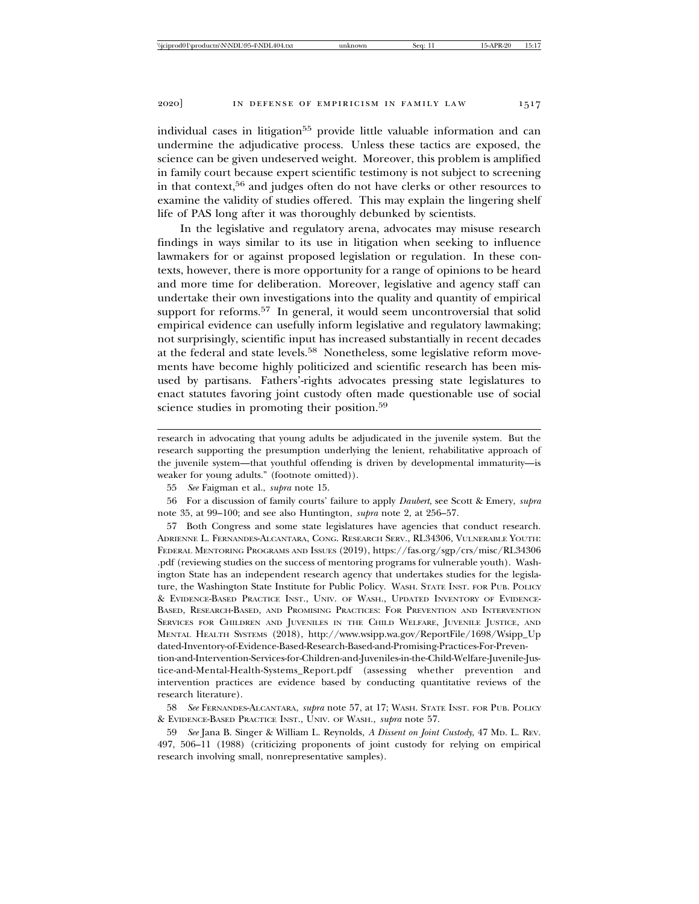individual cases in litigation<sup>55</sup> provide little valuable information and can undermine the adjudicative process. Unless these tactics are exposed, the science can be given undeserved weight. Moreover, this problem is amplified in family court because expert scientific testimony is not subject to screening in that context,56 and judges often do not have clerks or other resources to examine the validity of studies offered. This may explain the lingering shelf life of PAS long after it was thoroughly debunked by scientists.

In the legislative and regulatory arena, advocates may misuse research findings in ways similar to its use in litigation when seeking to influence lawmakers for or against proposed legislation or regulation. In these contexts, however, there is more opportunity for a range of opinions to be heard and more time for deliberation. Moreover, legislative and agency staff can undertake their own investigations into the quality and quantity of empirical support for reforms.<sup>57</sup> In general, it would seem uncontroversial that solid empirical evidence can usefully inform legislative and regulatory lawmaking; not surprisingly, scientific input has increased substantially in recent decades at the federal and state levels.58 Nonetheless, some legislative reform movements have become highly politicized and scientific research has been misused by partisans. Fathers'-rights advocates pressing state legislatures to enact statutes favoring joint custody often made questionable use of social science studies in promoting their position.<sup>59</sup>

research in advocating that young adults be adjudicated in the juvenile system. But the research supporting the presumption underlying the lenient, rehabilitative approach of the juvenile system—that youthful offending is driven by developmental immaturity—is weaker for young adults." (footnote omitted)).

57 Both Congress and some state legislatures have agencies that conduct research. ADRIENNE L. FERNANDES-ALCANTARA, CONG. RESEARCH SERV., RL34306, VULNERABLE YOUTH: FEDERAL MENTORING PROGRAMS AND ISSUES (2019), https://fas.org/sgp/crs/misc/RL34306 .pdf (reviewing studies on the success of mentoring programs for vulnerable youth). Washington State has an independent research agency that undertakes studies for the legislature, the Washington State Institute for Public Policy. WASH. STATE INST. FOR PUB. POLICY & EVIDENCE-BASED PRACTICE INST., UNIV. OF WASH., UPDATED INVENTORY OF EVIDENCE-BASED, RESEARCH-BASED, AND PROMISING PRACTICES: FOR PREVENTION AND INTERVENTION SERVICES FOR CHILDREN AND JUVENILES IN THE CHILD WELFARE, JUVENILE JUSTICE, AND MENTAL HEALTH SYSTEMS (2018), http://www.wsipp.wa.gov/ReportFile/1698/Wsipp\_Up dated-Inventory-of-Evidence-Based-Research-Based-and-Promising-Practices-For-Prevention-and-Intervention-Services-for-Children-and-Juveniles-in-the-Child-Welfare-Juvenile-Justice-and-Mental-Health-Systems\_Report.pdf (assessing whether prevention and intervention practices are evidence based by conducting quantitative reviews of the research literature).

59 *See* Jana B. Singer & William L. Reynolds, *A Dissent on Joint Custody*, 47 MD. L. REV. 497, 506–11 (1988) (criticizing proponents of joint custody for relying on empirical research involving small, nonrepresentative samples).

<sup>55</sup> *See* Faigman et al., *supra* note 15.

<sup>56</sup> For a discussion of family courts' failure to apply *Daubert*, see Scott & Emery, *supra* note 35, at 99–100; and see also Huntington, *supra* note 2, at 256–57.

<sup>58</sup> *See* FERNANDES-ALCANTARA, *supra* note 57, at 17; WASH. STATE INST. FOR PUB. POLICY & EVIDENCE-BASED PRACTICE INST., UNIV. OF WASH., *supra* note 57.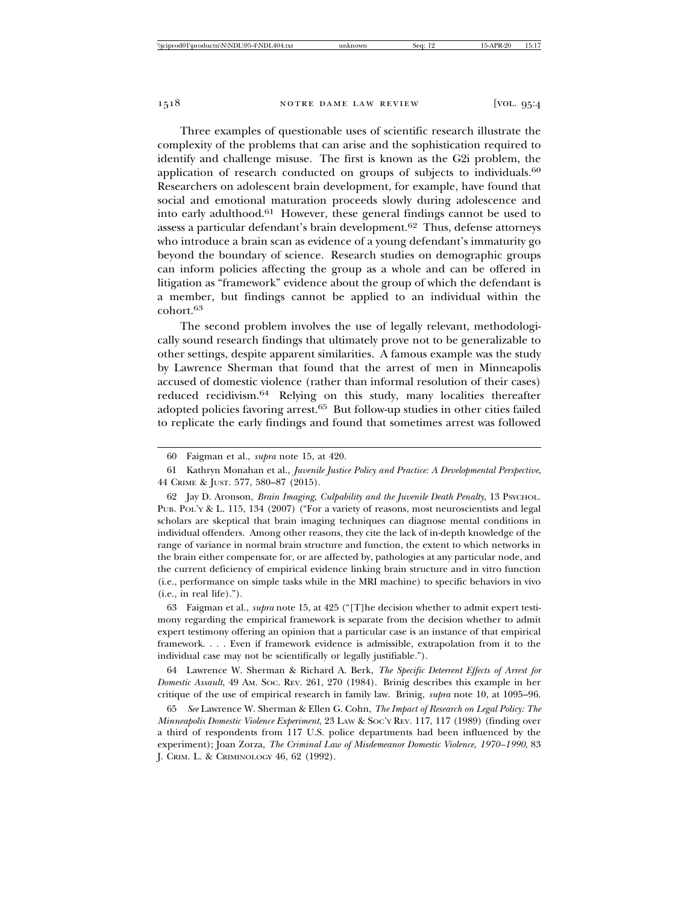Three examples of questionable uses of scientific research illustrate the complexity of the problems that can arise and the sophistication required to identify and challenge misuse. The first is known as the G2i problem, the application of research conducted on groups of subjects to individuals.<sup>60</sup> Researchers on adolescent brain development, for example, have found that social and emotional maturation proceeds slowly during adolescence and into early adulthood.61 However, these general findings cannot be used to assess a particular defendant's brain development.62 Thus, defense attorneys who introduce a brain scan as evidence of a young defendant's immaturity go beyond the boundary of science. Research studies on demographic groups can inform policies affecting the group as a whole and can be offered in litigation as "framework" evidence about the group of which the defendant is a member, but findings cannot be applied to an individual within the cohort.<sup>63</sup>

The second problem involves the use of legally relevant, methodologically sound research findings that ultimately prove not to be generalizable to other settings, despite apparent similarities. A famous example was the study by Lawrence Sherman that found that the arrest of men in Minneapolis accused of domestic violence (rather than informal resolution of their cases) reduced recidivism.64 Relying on this study, many localities thereafter adopted policies favoring arrest.65 But follow-up studies in other cities failed to replicate the early findings and found that sometimes arrest was followed

62 Jay D. Aronson, *Brain Imaging, Culpability and the Juvenile Death Penalty*, 13 PSYCHOL. PUB. POL'Y & L. 115, 134 (2007) ("For a variety of reasons, most neuroscientists and legal scholars are skeptical that brain imaging techniques can diagnose mental conditions in individual offenders. Among other reasons, they cite the lack of in-depth knowledge of the range of variance in normal brain structure and function, the extent to which networks in the brain either compensate for, or are affected by, pathologies at any particular node, and the current deficiency of empirical evidence linking brain structure and in vitro function (i.e., performance on simple tasks while in the MRI machine) to specific behaviors in vivo (i.e., in real life).").

63 Faigman et al., *supra* note 15, at 425 ("[T]he decision whether to admit expert testimony regarding the empirical framework is separate from the decision whether to admit expert testimony offering an opinion that a particular case is an instance of that empirical framework. . . . Even if framework evidence is admissible, extrapolation from it to the individual case may not be scientifically or legally justifiable.").

64 Lawrence W. Sherman & Richard A. Berk, *The Specific Deterrent Effects of Arrest for Domestic Assault*, 49 AM. SOC. REV. 261, 270 (1984). Brinig describes this example in her critique of the use of empirical research in family law. Brinig, *supra* note 10, at 1095–96.

65 *See* Lawrence W. Sherman & Ellen G. Cohn, *The Impact of Research on Legal Policy: The Minneapolis Domestic Violence Experiment*, 23 LAW & SOC'Y REV. 117, 117 (1989) (finding over a third of respondents from 117 U.S. police departments had been influenced by the experiment); Joan Zorza, *The Criminal Law of Misdemeanor Domestic Violence, 1970–1990*, 83 J. CRIM. L. & CRIMINOLOGY 46, 62 (1992).

<sup>60</sup> Faigman et al., *supra* note 15, at 420.

<sup>61</sup> Kathryn Monahan et al., *Juvenile Justice Policy and Practice: A Developmental Perspective*, 44 CRIME & JUST. 577, 580–87 (2015).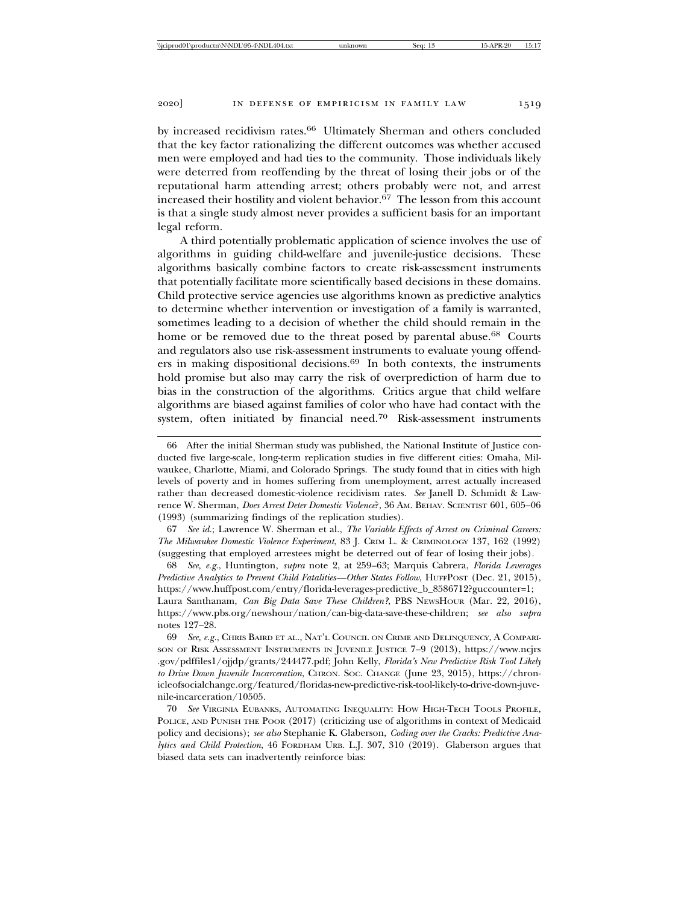by increased recidivism rates.<sup>66</sup> Ultimately Sherman and others concluded that the key factor rationalizing the different outcomes was whether accused men were employed and had ties to the community. Those individuals likely were deterred from reoffending by the threat of losing their jobs or of the reputational harm attending arrest; others probably were not, and arrest increased their hostility and violent behavior. $67$  The lesson from this account is that a single study almost never provides a sufficient basis for an important

legal reform. A third potentially problematic application of science involves the use of algorithms in guiding child-welfare and juvenile-justice decisions. These algorithms basically combine factors to create risk-assessment instruments that potentially facilitate more scientifically based decisions in these domains. Child protective service agencies use algorithms known as predictive analytics to determine whether intervention or investigation of a family is warranted, sometimes leading to a decision of whether the child should remain in the home or be removed due to the threat posed by parental abuse.<sup>68</sup> Courts and regulators also use risk-assessment instruments to evaluate young offenders in making dispositional decisions.69 In both contexts, the instruments hold promise but also may carry the risk of overprediction of harm due to bias in the construction of the algorithms. Critics argue that child welfare algorithms are biased against families of color who have had contact with the system, often initiated by financial need.70 Risk-assessment instruments

67 *See id.*; Lawrence W. Sherman et al., *The Variable Effects of Arrest on Criminal Careers: The Milwaukee Domestic Violence Experiment*, 83 J. CRIM L. & CRIMINOLOGY 137, 162 (1992) (suggesting that employed arrestees might be deterred out of fear of losing their jobs).

68 *See, e.g.*, Huntington, *supra* note 2, at 259–63; Marquis Cabrera, *Florida Leverages Predictive Analytics to Prevent Child Fatalities—Other States Follow*, HUFFPOST (Dec. 21, 2015), https://www.huffpost.com/entry/florida-leverages-predictive\_b\_8586712?guccounter=1; Laura Santhanam, *Can Big Data Save These Children?*, PBS NEWSHOUR (Mar. 22, 2016), https://www.pbs.org/newshour/nation/can-big-data-save-these-children; *see also supra*

notes 127–28.

69 *See, e.g.*, CHRIS BAIRD ET AL., NAT'L COUNCIL ON CRIME AND DELINQUENCY, A COMPARI-SON OF RISK ASSESSMENT INSTRUMENTS IN JUVENILE JUSTICE 7–9 (2013), https://www.ncjrs .gov/pdffiles1/ojjdp/grants/244477.pdf; John Kelly, *Florida's New Predictive Risk Tool Likely to Drive Down Juvenile Incarceration*, CHRON. SOC. CHANGE (June 23, 2015), https://chronicleofsocialchange.org/featured/floridas-new-predictive-risk-tool-likely-to-drive-down-juvenile-incarceration/10505.

70 *See* VIRGINIA EUBANKS, AUTOMATING INEQUALITY: HOW HIGH-TECH TOOLS PROFILE, POLICE, AND PUNISH THE POOR (2017) (criticizing use of algorithms in context of Medicaid policy and decisions); *see also* Stephanie K. Glaberson, *Coding over the Cracks: Predictive Analytics and Child Protection*, 46 FORDHAM URB. L.J. 307, 310 (2019). Glaberson argues that biased data sets can inadvertently reinforce bias:

<sup>66</sup> After the initial Sherman study was published, the National Institute of Justice conducted five large-scale, long-term replication studies in five different cities: Omaha, Milwaukee, Charlotte, Miami, and Colorado Springs. The study found that in cities with high levels of poverty and in homes suffering from unemployment, arrest actually increased rather than decreased domestic-violence recidivism rates. *See* Janell D. Schmidt & Lawrence W. Sherman, *Does Arrest Deter Domestic Violence*?, 36 AM. BEHAV. SCIENTIST 601, 605–06 (1993) (summarizing findings of the replication studies).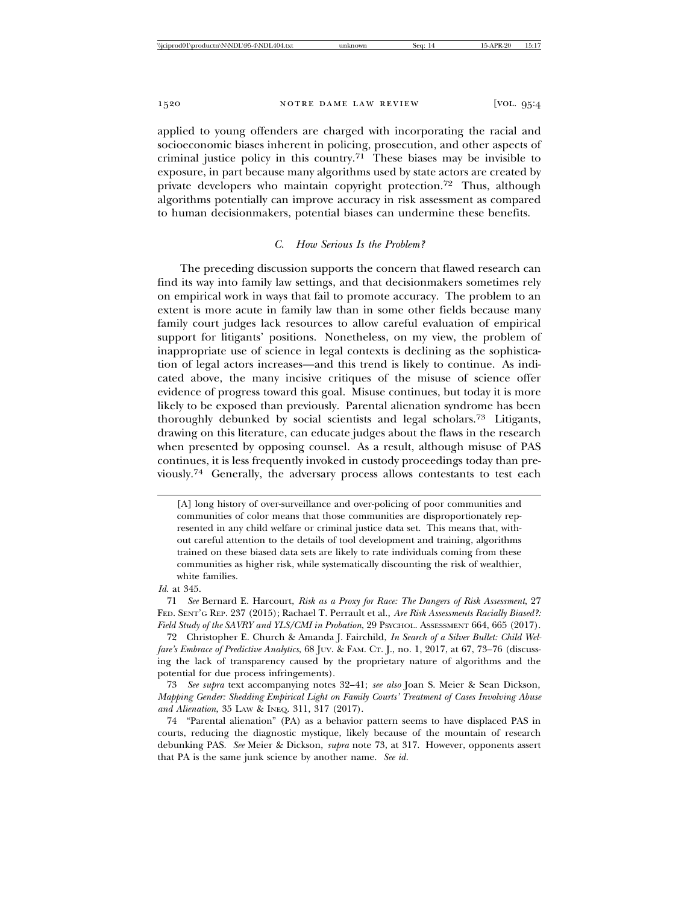applied to young offenders are charged with incorporating the racial and socioeconomic biases inherent in policing, prosecution, and other aspects of criminal justice policy in this country.<sup>71</sup> These biases may be invisible to exposure, in part because many algorithms used by state actors are created by private developers who maintain copyright protection.72 Thus, although algorithms potentially can improve accuracy in risk assessment as compared to human decisionmakers, potential biases can undermine these benefits.

### *C. How Serious Is the Problem?*

The preceding discussion supports the concern that flawed research can find its way into family law settings, and that decisionmakers sometimes rely on empirical work in ways that fail to promote accuracy. The problem to an extent is more acute in family law than in some other fields because many family court judges lack resources to allow careful evaluation of empirical support for litigants' positions. Nonetheless, on my view, the problem of inappropriate use of science in legal contexts is declining as the sophistication of legal actors increases—and this trend is likely to continue. As indicated above, the many incisive critiques of the misuse of science offer evidence of progress toward this goal. Misuse continues, but today it is more likely to be exposed than previously. Parental alienation syndrome has been thoroughly debunked by social scientists and legal scholars.73 Litigants, drawing on this literature, can educate judges about the flaws in the research when presented by opposing counsel. As a result, although misuse of PAS continues, it is less frequently invoked in custody proceedings today than previously.74 Generally, the adversary process allows contestants to test each

#### *Id.* at 345.

71 *See* Bernard E. Harcourt, *Risk as a Proxy for Race: The Dangers of Risk Assessment*, 27 FED. SENT'G REP. 237 (2015); Rachael T. Perrault et al., *Are Risk Assessments Racially Biased?: Field Study of the SAVRY and YLS/CMI in Probation*, 29 PSYCHOL. ASSESSMENT 664, 665 (2017).

72 Christopher E. Church & Amanda J. Fairchild, *In Search of a Silver Bullet: Child Welfare's Embrace of Predictive Analytics*, 68 JUV. & FAM. CT. J., no. 1, 2017, at 67, 73–76 (discussing the lack of transparency caused by the proprietary nature of algorithms and the potential for due process infringements).

73 *See supra* text accompanying notes 32–41; *see also* Joan S. Meier & Sean Dickson, *Mapping Gender: Shedding Empirical Light on Family Courts' Treatment of Cases Involving Abuse and Alienation*, 35 LAW & INEQ. 311, 317 (2017).

74 "Parental alienation" (PA) as a behavior pattern seems to have displaced PAS in courts, reducing the diagnostic mystique, likely because of the mountain of research debunking PAS. *See* Meier & Dickson, *supra* note 73, at 317. However, opponents assert that PA is the same junk science by another name. *See id.*

<sup>[</sup>A] long history of over-surveillance and over-policing of poor communities and communities of color means that those communities are disproportionately represented in any child welfare or criminal justice data set. This means that, without careful attention to the details of tool development and training, algorithms trained on these biased data sets are likely to rate individuals coming from these communities as higher risk, while systematically discounting the risk of wealthier, white families.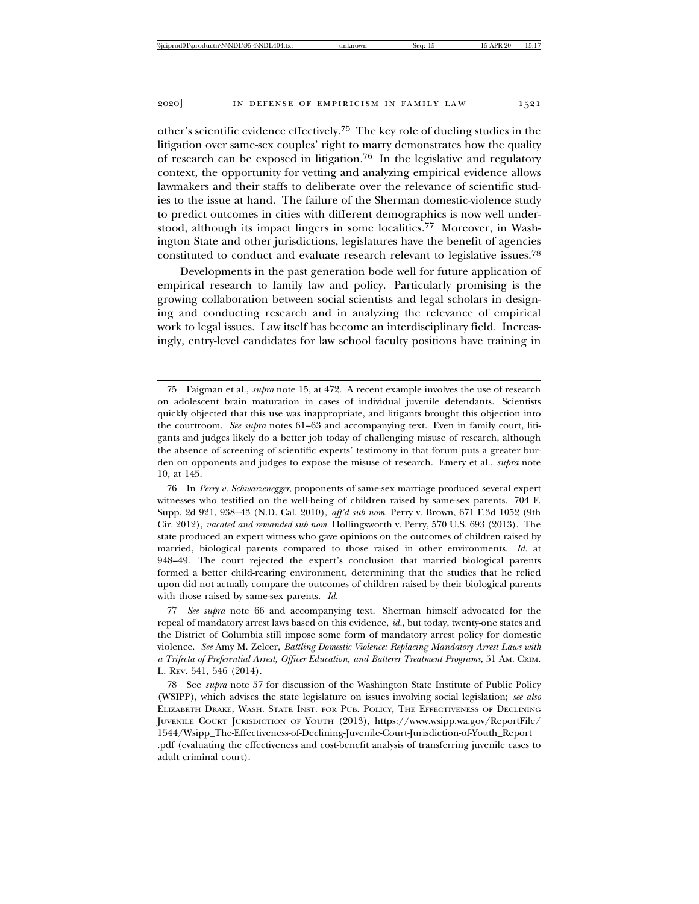other's scientific evidence effectively.75 The key role of dueling studies in the litigation over same-sex couples' right to marry demonstrates how the quality of research can be exposed in litigation.76 In the legislative and regulatory context, the opportunity for vetting and analyzing empirical evidence allows lawmakers and their staffs to deliberate over the relevance of scientific studies to the issue at hand. The failure of the Sherman domestic-violence study to predict outcomes in cities with different demographics is now well understood, although its impact lingers in some localities.77 Moreover, in Washington State and other jurisdictions, legislatures have the benefit of agencies constituted to conduct and evaluate research relevant to legislative issues.78

Developments in the past generation bode well for future application of empirical research to family law and policy. Particularly promising is the growing collaboration between social scientists and legal scholars in designing and conducting research and in analyzing the relevance of empirical work to legal issues. Law itself has become an interdisciplinary field. Increasingly, entry-level candidates for law school faculty positions have training in

<sup>75</sup> Faigman et al., *supra* note 15, at 472. A recent example involves the use of research on adolescent brain maturation in cases of individual juvenile defendants. Scientists quickly objected that this use was inappropriate, and litigants brought this objection into the courtroom. *See supra* notes 61–63 and accompanying text. Even in family court, litigants and judges likely do a better job today of challenging misuse of research, although the absence of screening of scientific experts' testimony in that forum puts a greater burden on opponents and judges to expose the misuse of research. Emery et al., *supra* note 10, at 145.

<sup>76</sup> In *Perry v. Schwarzenegger*, proponents of same-sex marriage produced several expert witnesses who testified on the well-being of children raised by same-sex parents. 704 F. Supp. 2d 921, 938–43 (N.D. Cal. 2010), *aff'd sub nom.* Perry v. Brown, 671 F.3d 1052 (9th Cir. 2012), *vacated and remanded sub nom.* Hollingsworth v. Perry, 570 U.S. 693 (2013). The state produced an expert witness who gave opinions on the outcomes of children raised by married, biological parents compared to those raised in other environments. *Id.* at 948–49. The court rejected the expert's conclusion that married biological parents formed a better child-rearing environment, determining that the studies that he relied upon did not actually compare the outcomes of children raised by their biological parents with those raised by same-sex parents. *Id.*

<sup>77</sup> *See supra* note 66 and accompanying text. Sherman himself advocated for the repeal of mandatory arrest laws based on this evidence, *id.*, but today, twenty-one states and the District of Columbia still impose some form of mandatory arrest policy for domestic violence. *See* Amy M. Zelcer, *Battling Domestic Violence: Replacing Mandatory Arrest Laws with a Trifecta of Preferential Arrest, Officer Education, and Batterer Treatment Programs*, 51 AM. CRIM. L. REV. 541, 546 (2014).

<sup>78</sup> See *supra* note 57 for discussion of the Washington State Institute of Public Policy (WSIPP), which advises the state legislature on issues involving social legislation; *see also* ELIZABETH DRAKE, WASH. STATE INST. FOR PUB. POLICY, THE EFFECTIVENESS OF DECLINING JUVENILE COURT JURISDICTION OF YOUTH (2013), https://www.wsipp.wa.gov/ReportFile/ 1544/Wsipp\_The-Effectiveness-of-Declining-Juvenile-Court-Jurisdiction-of-Youth\_Report .pdf (evaluating the effectiveness and cost-benefit analysis of transferring juvenile cases to adult criminal court).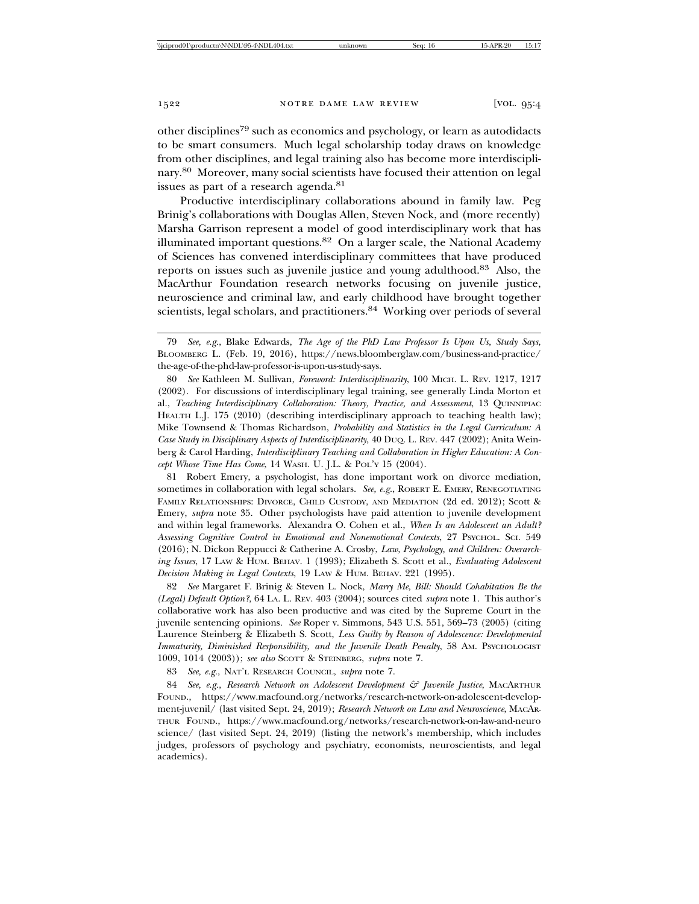other disciplines79 such as economics and psychology, or learn as autodidacts to be smart consumers. Much legal scholarship today draws on knowledge from other disciplines, and legal training also has become more interdisciplinary.80 Moreover, many social scientists have focused their attention on legal issues as part of a research agenda.81

Productive interdisciplinary collaborations abound in family law. Peg Brinig's collaborations with Douglas Allen, Steven Nock, and (more recently) Marsha Garrison represent a model of good interdisciplinary work that has illuminated important questions.82 On a larger scale, the National Academy of Sciences has convened interdisciplinary committees that have produced reports on issues such as juvenile justice and young adulthood.83 Also, the MacArthur Foundation research networks focusing on juvenile justice, neuroscience and criminal law, and early childhood have brought together scientists, legal scholars, and practitioners.<sup>84</sup> Working over periods of several

80 *See* Kathleen M. Sullivan, *Foreword: Interdisciplinarity*, 100 MICH. L. REV. 1217, 1217 (2002). For discussions of interdisciplinary legal training, see generally Linda Morton et al., *Teaching Interdisciplinary Collaboration: Theory, Practice, and Assessment*, 13 QUINNIPIAC HEALTH L.J. 175 (2010) (describing interdisciplinary approach to teaching health law); Mike Townsend & Thomas Richardson, *Probability and Statistics in the Legal Curriculum: A Case Study in Disciplinary Aspects of Interdisciplinarity*, 40 DUQ. L. REV. 447 (2002); Anita Weinberg & Carol Harding, *Interdisciplinary Teaching and Collaboration in Higher Education: A Concept Whose Time Has Come*, 14 WASH. U. J.L. & POL'Y 15 (2004).

81 Robert Emery, a psychologist, has done important work on divorce mediation, sometimes in collaboration with legal scholars. See, e.g., ROBERT E. EMERY, RENEGOTIATING FAMILY RELATIONSHIPS: DIVORCE, CHILD CUSTODY, AND MEDIATION (2d ed. 2012); Scott & Emery, *supra* note 35. Other psychologists have paid attention to juvenile development and within legal frameworks. Alexandra O. Cohen et al., *When Is an Adolescent an Adult? Assessing Cognitive Control in Emotional and Nonemotional Contexts*, 27 PSYCHOL. SCI. 549 (2016); N. Dickon Reppucci & Catherine A. Crosby, *Law, Psychology, and Children: Overarching Issues*, 17 LAW & HUM. BEHAV. 1 (1993); Elizabeth S. Scott et al., *Evaluating Adolescent Decision Making in Legal Contexts*, 19 LAW & HUM. BEHAV. 221 (1995).

82 *See* Margaret F. Brinig & Steven L. Nock, *Marry Me, Bill: Should Cohabitation Be the (Legal) Default Option?*, 64 LA. L. REV. 403 (2004); sources cited *supra* note 1. This author's collaborative work has also been productive and was cited by the Supreme Court in the juvenile sentencing opinions. *See* Roper v. Simmons, 543 U.S. 551, 569–73 (2005) (citing Laurence Steinberg & Elizabeth S. Scott, *Less Guilty by Reason of Adolescence: Developmental Immaturity, Diminished Responsibility, and the Juvenile Death Penalty, 58 AM. PSYCHOLOGIST* 1009, 1014 (2003)); *see also* SCOTT & STEINBERG, *supra* note 7.

83 *See, e.g.*, NAT'L RESEARCH COUNCIL, *supra* note 7.

84 *See, e.g.*, *Research Network on Adolescent Development & Juvenile Justice*, MACARTHUR FOUND., https://www.macfound.org/networks/research-network-on-adolescent-development-juvenil/ (last visited Sept. 24, 2019); *Research Network on Law and Neuroscience*, MACAR-THUR FOUND., https://www.macfound.org/networks/research-network-on-law-and-neuro science/ (last visited Sept. 24, 2019) (listing the network's membership, which includes judges, professors of psychology and psychiatry, economists, neuroscientists, and legal academics).

<sup>79</sup> *See, e.g.*, Blake Edwards, *The Age of the PhD Law Professor Is Upon Us, Study Says*, BLOOMBERG L. (Feb. 19, 2016), https://news.bloomberglaw.com/business-and-practice/ the-age-of-the-phd-law-professor-is-upon-us-study-says.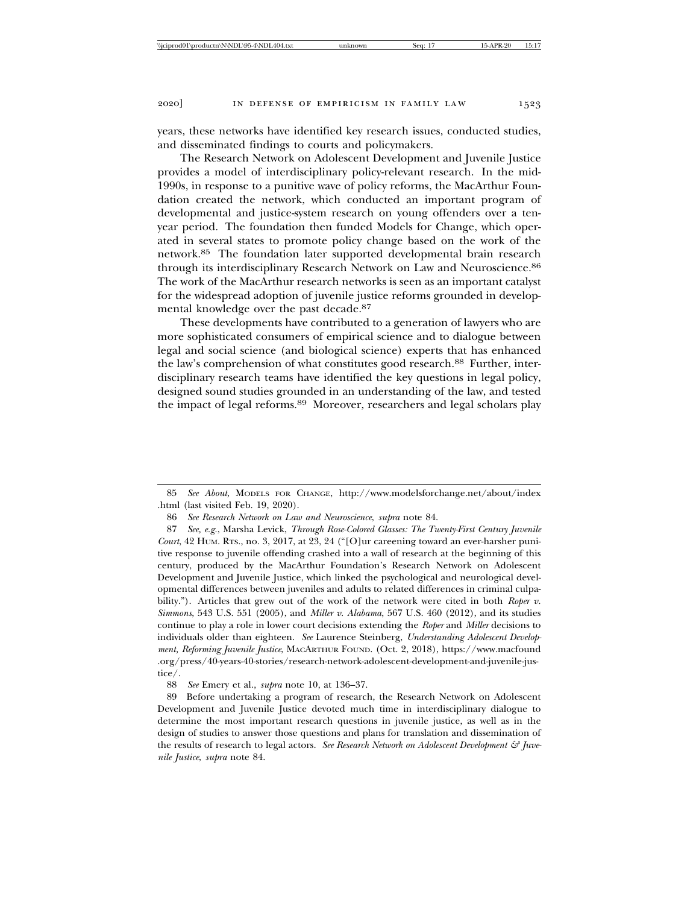years, these networks have identified key research issues, conducted studies, and disseminated findings to courts and policymakers.

The Research Network on Adolescent Development and Juvenile Justice provides a model of interdisciplinary policy-relevant research. In the mid-1990s, in response to a punitive wave of policy reforms, the MacArthur Foundation created the network, which conducted an important program of developmental and justice-system research on young offenders over a tenyear period. The foundation then funded Models for Change, which operated in several states to promote policy change based on the work of the network.85 The foundation later supported developmental brain research through its interdisciplinary Research Network on Law and Neuroscience.<sup>86</sup> The work of the MacArthur research networks is seen as an important catalyst for the widespread adoption of juvenile justice reforms grounded in developmental knowledge over the past decade.87

These developments have contributed to a generation of lawyers who are more sophisticated consumers of empirical science and to dialogue between legal and social science (and biological science) experts that has enhanced the law's comprehension of what constitutes good research.<sup>88</sup> Further, interdisciplinary research teams have identified the key questions in legal policy, designed sound studies grounded in an understanding of the law, and tested the impact of legal reforms.<sup>89</sup> Moreover, researchers and legal scholars play

<sup>85</sup> *See About*, MODELS FOR CHANGE, http://www.modelsforchange.net/about/index .html (last visited Feb. 19, 2020).

<sup>86</sup> *See Research Network on Law and Neuroscience*, *supra* note 84.

<sup>87</sup> *See, e.g.*, Marsha Levick, *Through Rose-Colored Glasses: The Twenty-First Century Juvenile Court*, 42 HUM. RTS., no. 3, 2017, at 23, 24 ("[O]ur careening toward an ever-harsher punitive response to juvenile offending crashed into a wall of research at the beginning of this century, produced by the MacArthur Foundation's Research Network on Adolescent Development and Juvenile Justice, which linked the psychological and neurological developmental differences between juveniles and adults to related differences in criminal culpability."). Articles that grew out of the work of the network were cited in both *Roper v. Simmons*, 543 U.S. 551 (2005), and *Miller v. Alabama*, 567 U.S. 460 (2012), and its studies continue to play a role in lower court decisions extending the *Roper* and *Miller* decisions to individuals older than eighteen. *See* Laurence Steinberg, *Understanding Adolescent Development, Reforming Juvenile Justice*, MACARTHUR FOUND. (Oct. 2, 2018), https://www.macfound .org/press/40-years-40-stories/research-network-adolescent-development-and-juvenile-justice/.

<sup>88</sup> *See* Emery et al., *supra* note 10, at 136–37.

<sup>89</sup> Before undertaking a program of research, the Research Network on Adolescent Development and Juvenile Justice devoted much time in interdisciplinary dialogue to determine the most important research questions in juvenile justice, as well as in the design of studies to answer those questions and plans for translation and dissemination of the results of research to legal actors. See Research Network on Adolescent Development & Juve*nile Justice*, *supra* note 84.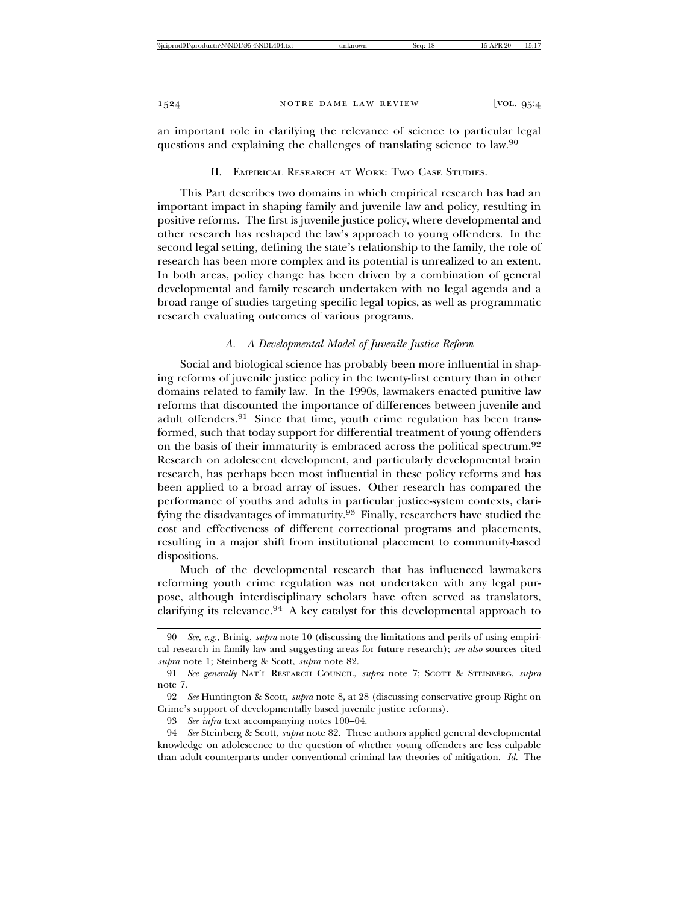an important role in clarifying the relevance of science to particular legal questions and explaining the challenges of translating science to law.90

II. EMPIRICAL RESEARCH AT WORK: TWO CASE STUDIES.

This Part describes two domains in which empirical research has had an important impact in shaping family and juvenile law and policy, resulting in positive reforms. The first is juvenile justice policy, where developmental and other research has reshaped the law's approach to young offenders. In the second legal setting, defining the state's relationship to the family, the role of research has been more complex and its potential is unrealized to an extent. In both areas, policy change has been driven by a combination of general developmental and family research undertaken with no legal agenda and a broad range of studies targeting specific legal topics, as well as programmatic research evaluating outcomes of various programs.

## *A. A Developmental Model of Juvenile Justice Reform*

Social and biological science has probably been more influential in shaping reforms of juvenile justice policy in the twenty-first century than in other domains related to family law. In the 1990s, lawmakers enacted punitive law reforms that discounted the importance of differences between juvenile and adult offenders.91 Since that time, youth crime regulation has been transformed, such that today support for differential treatment of young offenders on the basis of their immaturity is embraced across the political spectrum.92 Research on adolescent development, and particularly developmental brain research, has perhaps been most influential in these policy reforms and has been applied to a broad array of issues. Other research has compared the performance of youths and adults in particular justice-system contexts, clarifying the disadvantages of immaturity.93 Finally, researchers have studied the cost and effectiveness of different correctional programs and placements, resulting in a major shift from institutional placement to community-based dispositions.

Much of the developmental research that has influenced lawmakers reforming youth crime regulation was not undertaken with any legal purpose, although interdisciplinary scholars have often served as translators, clarifying its relevance. $94$  A key catalyst for this developmental approach to

<sup>90</sup> *See, e.g.*, Brinig, *supra* note 10 (discussing the limitations and perils of using empirical research in family law and suggesting areas for future research); *see also* sources cited *supra* note 1; Steinberg & Scott, *supra* note 82.

<sup>91</sup> *See generally* NAT'L RESEARCH COUNCIL, *supra* note 7; SCOTT & STEINBERG, *supra* note 7.

<sup>92</sup> *See* Huntington & Scott, *supra* note 8, at 28 (discussing conservative group Right on Crime's support of developmentally based juvenile justice reforms).

<sup>93</sup> *See infra* text accompanying notes 100–04.

<sup>94</sup> *See* Steinberg & Scott, *supra* note 82. These authors applied general developmental knowledge on adolescence to the question of whether young offenders are less culpable than adult counterparts under conventional criminal law theories of mitigation. *Id.* The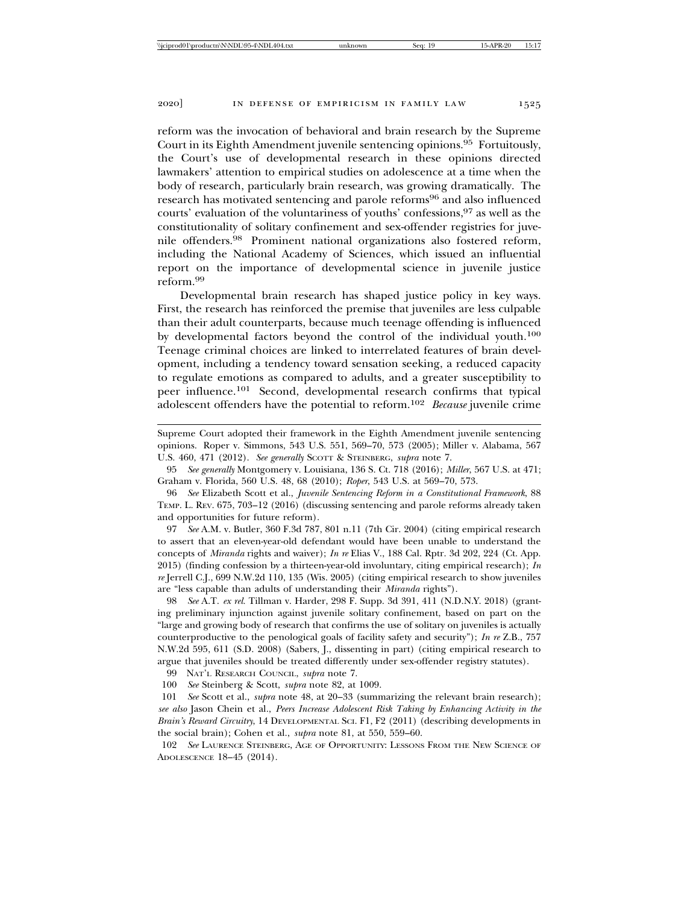reform was the invocation of behavioral and brain research by the Supreme Court in its Eighth Amendment juvenile sentencing opinions.95 Fortuitously, the Court's use of developmental research in these opinions directed lawmakers' attention to empirical studies on adolescence at a time when the body of research, particularly brain research, was growing dramatically. The research has motivated sentencing and parole reforms96 and also influenced courts' evaluation of the voluntariness of youths' confessions, <sup>97</sup> as well as the constitutionality of solitary confinement and sex-offender registries for juvenile offenders.98 Prominent national organizations also fostered reform, including the National Academy of Sciences, which issued an influential report on the importance of developmental science in juvenile justice reform.<sup>99</sup>

Developmental brain research has shaped justice policy in key ways. First, the research has reinforced the premise that juveniles are less culpable than their adult counterparts, because much teenage offending is influenced by developmental factors beyond the control of the individual youth.100 Teenage criminal choices are linked to interrelated features of brain development, including a tendency toward sensation seeking, a reduced capacity to regulate emotions as compared to adults, and a greater susceptibility to peer influence.101 Second, developmental research confirms that typical adolescent offenders have the potential to reform.102 *Because* juvenile crime

Supreme Court adopted their framework in the Eighth Amendment juvenile sentencing opinions. Roper v. Simmons, 543 U.S. 551, 569–70, 573 (2005); Miller v. Alabama, 567 U.S. 460, 471 (2012). *See generally* SCOTT & STEINBERG, *supra* note 7.

95 *See generally* Montgomery v. Louisiana, 136 S. Ct. 718 (2016); *Miller*, 567 U.S. at 471; Graham v. Florida, 560 U.S. 48, 68 (2010); *Roper*, 543 U.S. at 569–70, 573.

96 *See* Elizabeth Scott et al., *Juvenile Sentencing Reform in a Constitutional Framework*, 88 TEMP. L. REV. 675, 703–12 (2016) (discussing sentencing and parole reforms already taken and opportunities for future reform).

97 *See* A.M. v. Butler, 360 F.3d 787, 801 n.11 (7th Cir. 2004) (citing empirical research to assert that an eleven-year-old defendant would have been unable to understand the concepts of *Miranda* rights and waiver); *In re* Elias V., 188 Cal. Rptr. 3d 202, 224 (Ct. App. 2015) (finding confession by a thirteen-year-old involuntary, citing empirical research); *In re* Jerrell C.J., 699 N.W.2d 110, 135 (Wis. 2005) (citing empirical research to show juveniles are "less capable than adults of understanding their *Miranda* rights").

98 *See* A.T. *ex rel.* Tillman v. Harder, 298 F. Supp. 3d 391, 411 (N.D.N.Y. 2018) (granting preliminary injunction against juvenile solitary confinement, based on part on the "large and growing body of research that confirms the use of solitary on juveniles is actually counterproductive to the penological goals of facility safety and security"); *In re* Z.B., 757 N.W.2d 595, 611 (S.D. 2008) (Sabers, J., dissenting in part) (citing empirical research to argue that juveniles should be treated differently under sex-offender registry statutes).

99 NAT'L RESEARCH COUNCIL, *supra* note 7.

100 *See* Steinberg & Scott, *supra* note 82, at 1009.

101 *See* Scott et al., *supra* note 48, at 20–33 (summarizing the relevant brain research); *see also* Jason Chein et al., *Peers Increase Adolescent Risk Taking by Enhancing Activity in the Brain's Reward Circuitry*, 14 DEVELOPMENTAL SCI. F1, F2 (2011) (describing developments in the social brain); Cohen et al., *supra* note 81, at 550, 559–60.

102 *See* LAURENCE STEINBERG, AGE OF OPPORTUNITY: LESSONS FROM THE NEW SCIENCE OF ADOLESCENCE 18–45 (2014).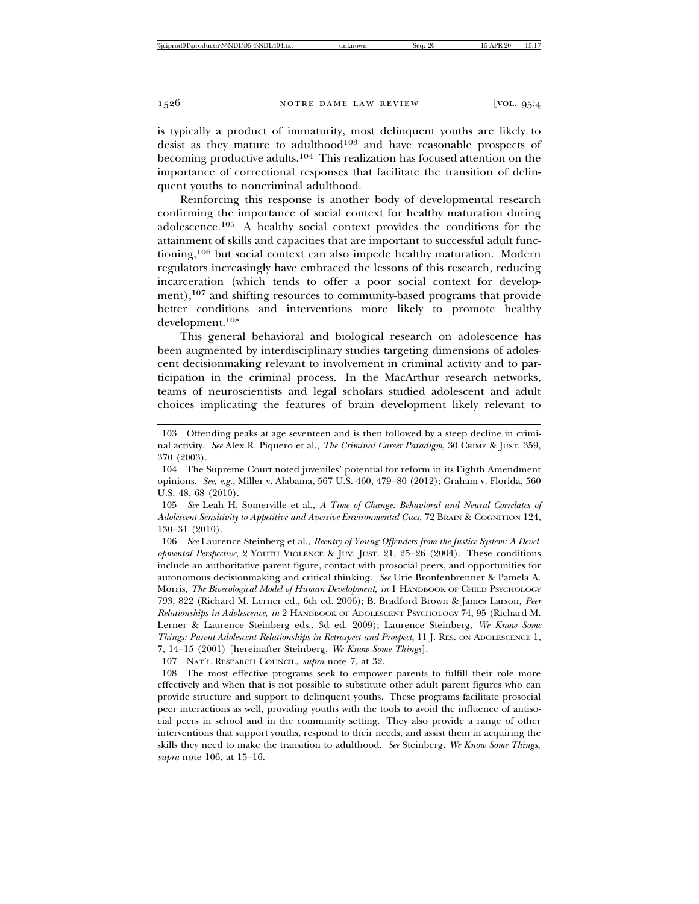is typically a product of immaturity, most delinquent youths are likely to desist as they mature to adulthood<sup>103</sup> and have reasonable prospects of becoming productive adults.104 This realization has focused attention on the importance of correctional responses that facilitate the transition of delinquent youths to noncriminal adulthood.

Reinforcing this response is another body of developmental research confirming the importance of social context for healthy maturation during adolescence.105 A healthy social context provides the conditions for the attainment of skills and capacities that are important to successful adult functioning,106 but social context can also impede healthy maturation. Modern regulators increasingly have embraced the lessons of this research, reducing incarceration (which tends to offer a poor social context for development),107 and shifting resources to community-based programs that provide better conditions and interventions more likely to promote healthy development.<sup>108</sup>

This general behavioral and biological research on adolescence has been augmented by interdisciplinary studies targeting dimensions of adolescent decisionmaking relevant to involvement in criminal activity and to participation in the criminal process. In the MacArthur research networks, teams of neuroscientists and legal scholars studied adolescent and adult choices implicating the features of brain development likely relevant to

106 *See* Laurence Steinberg et al., *Reentry of Young Offenders from the Justice System: A Developmental Perspective*, 2 YOUTH VIOLENCE & JUV. JUST. 21, 25–26 (2004). These conditions include an authoritative parent figure, contact with prosocial peers, and opportunities for autonomous decisionmaking and critical thinking. *See* Urie Bronfenbrenner & Pamela A. Morris, *The Bioecological Model of Human Development*, *in* 1 HANDBOOK OF CHILD PSYCHOLOGY 793, 822 (Richard M. Lerner ed., 6th ed. 2006); B. Bradford Brown & James Larson, *Peer Relationships in Adolescence*, *in* 2 HANDBOOK OF ADOLESCENT PSYCHOLOGY 74, 95 (Richard M. Lerner & Laurence Steinberg eds., 3d ed. 2009); Laurence Steinberg, *We Know Some Things: Parent-Adolescent Relationships in Retrospect and Prospect*, 11 J. RES. ON ADOLESCENCE 1, 7, 14–15 (2001) [hereinafter Steinberg, *We Know Some Things*].

107 NAT'L RESEARCH COUNCIL, *supra* note 7, at 32.

108 The most effective programs seek to empower parents to fulfill their role more effectively and when that is not possible to substitute other adult parent figures who can provide structure and support to delinquent youths. These programs facilitate prosocial peer interactions as well, providing youths with the tools to avoid the influence of antisocial peers in school and in the community setting. They also provide a range of other interventions that support youths, respond to their needs, and assist them in acquiring the skills they need to make the transition to adulthood. *See* Steinberg, *We Know Some Things*, *supra* note 106, at 15–16.

<sup>103</sup> Offending peaks at age seventeen and is then followed by a steep decline in criminal activity. *See* Alex R. Piquero et al., *The Criminal Career Paradigm*, 30 CRIME & JUST. 359, 370 (2003).

<sup>104</sup> The Supreme Court noted juveniles' potential for reform in its Eighth Amendment opinions. *See, e.g.*, Miller v. Alabama, 567 U.S. 460, 479–80 (2012); Graham v. Florida, 560 U.S. 48, 68 (2010).

<sup>105</sup> *See* Leah H. Somerville et al., *A Time of Change: Behavioral and Neural Correlates of Adolescent Sensitivity to Appetitive and Aversive Environmental Cues*, 72 BRAIN & COGNITION 124, 130–31 (2010).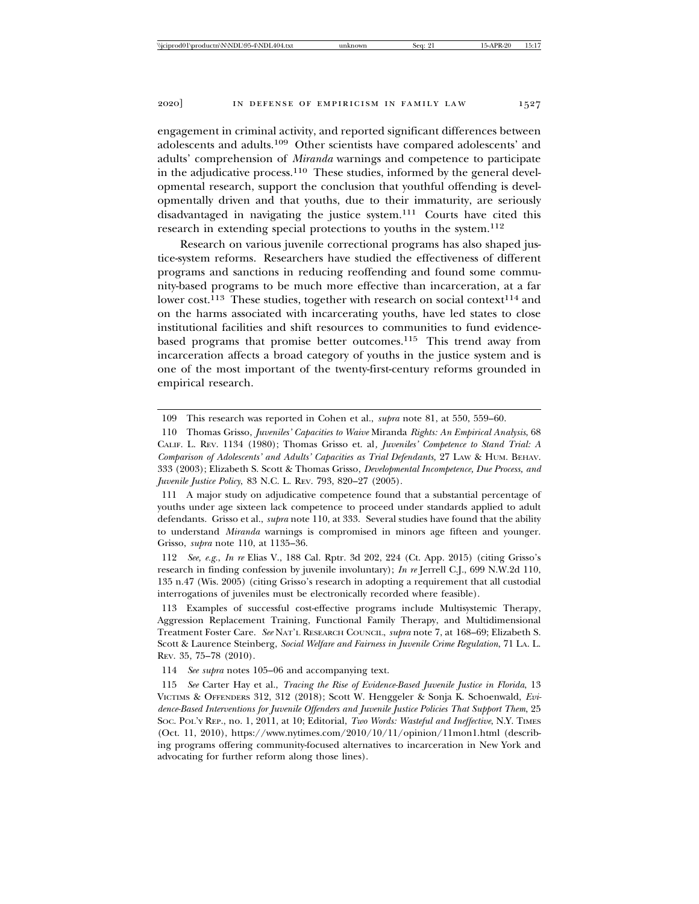engagement in criminal activity, and reported significant differences between adolescents and adults.109 Other scientists have compared adolescents' and adults' comprehension of *Miranda* warnings and competence to participate in the adjudicative process. $110$  These studies, informed by the general developmental research, support the conclusion that youthful offending is developmentally driven and that youths, due to their immaturity, are seriously disadvantaged in navigating the justice system.111 Courts have cited this research in extending special protections to youths in the system.<sup>112</sup>

Research on various juvenile correctional programs has also shaped justice-system reforms. Researchers have studied the effectiveness of different programs and sanctions in reducing reoffending and found some community-based programs to be much more effective than incarceration, at a far lower cost.<sup>113</sup> These studies, together with research on social context<sup>114</sup> and on the harms associated with incarcerating youths, have led states to close institutional facilities and shift resources to communities to fund evidencebased programs that promise better outcomes.<sup>115</sup> This trend away from incarceration affects a broad category of youths in the justice system and is one of the most important of the twenty-first-century reforms grounded in empirical research.

111 A major study on adjudicative competence found that a substantial percentage of youths under age sixteen lack competence to proceed under standards applied to adult defendants. Grisso et al., *supra* note 110, at 333. Several studies have found that the ability to understand *Miranda* warnings is compromised in minors age fifteen and younger. Grisso, *supra* note 110, at 1135–36.

112 *See, e.g.*, *In re* Elias V., 188 Cal. Rptr. 3d 202, 224 (Ct. App. 2015) (citing Grisso's research in finding confession by juvenile involuntary); *In re* Jerrell C.J., 699 N.W.2d 110, 135 n.47 (Wis. 2005) (citing Grisso's research in adopting a requirement that all custodial interrogations of juveniles must be electronically recorded where feasible).

113 Examples of successful cost-effective programs include Multisystemic Therapy, Aggression Replacement Training, Functional Family Therapy, and Multidimensional Treatment Foster Care. *See* NAT'L RESEARCH COUNCIL, *supra* note 7, at 168–69; Elizabeth S. Scott & Laurence Steinberg, *Social Welfare and Fairness in Juvenile Crime Regulation*, 71 LA. L. REV. 35, 75–78 (2010).

114 *See supra* notes 105–06 and accompanying text.

115 *See* Carter Hay et al., *Tracing the Rise of Evidence-Based Juvenile Justice in Florida*, 13 VICTIMS & OFFENDERS 312, 312 (2018); Scott W. Henggeler & Sonja K. Schoenwald, *Evidence-Based Interventions for Juvenile Offenders and Juvenile Justice Policies That Support Them*, 25 SOC. POL'Y REP., no. 1, 2011, at 10; Editorial, *Two Words: Wasteful and Ineffective*, N.Y. TIMES (Oct. 11, 2010), https://www.nytimes.com/2010/10/11/opinion/11mon1.html (describing programs offering community-focused alternatives to incarceration in New York and advocating for further reform along those lines).

<sup>109</sup> This research was reported in Cohen et al., *supra* note 81, at 550, 559–60.

<sup>110</sup> Thomas Grisso, *Juveniles' Capacities to Waive* Miranda *Rights: An Empirical Analysis*, 68 CALIF. L. REV. 1134 (1980); Thomas Grisso et. al*, Juveniles' Competence to Stand Trial: A Comparison of Adolescents' and Adults' Capacities as Trial Defendants,* 27 LAW & HUM. BEHAV. 333 (2003); Elizabeth S. Scott & Thomas Grisso, *Developmental Incompetence, Due Process, and Juvenile Justice Policy*, 83 N.C. L. REV. 793, 820–27 (2005).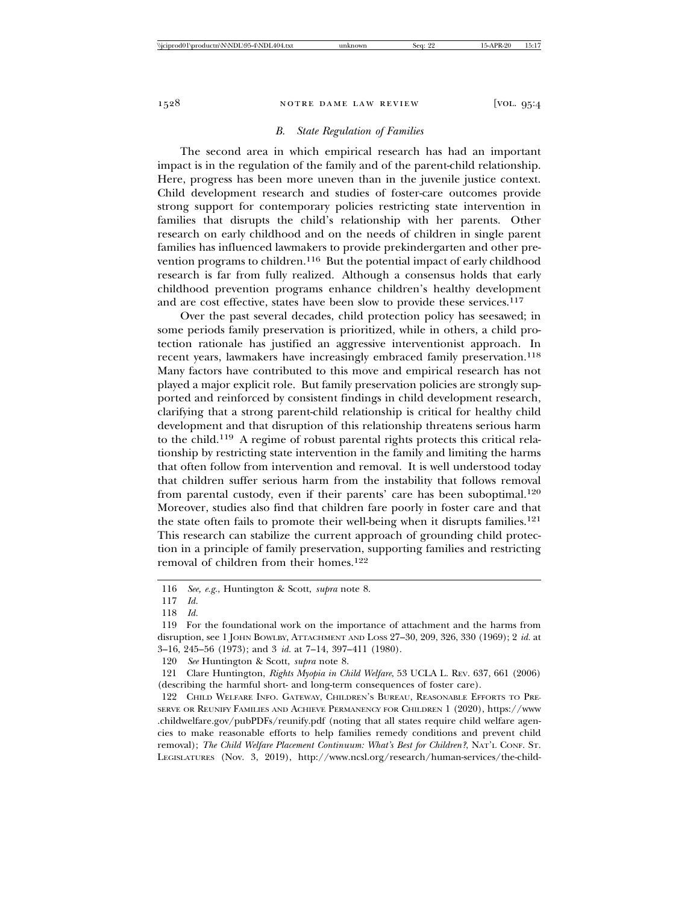## *B. State Regulation of Families*

The second area in which empirical research has had an important impact is in the regulation of the family and of the parent-child relationship. Here, progress has been more uneven than in the juvenile justice context. Child development research and studies of foster-care outcomes provide strong support for contemporary policies restricting state intervention in families that disrupts the child's relationship with her parents. Other research on early childhood and on the needs of children in single parent families has influenced lawmakers to provide prekindergarten and other prevention programs to children.<sup>116</sup> But the potential impact of early childhood research is far from fully realized. Although a consensus holds that early childhood prevention programs enhance children's healthy development and are cost effective, states have been slow to provide these services.<sup>117</sup>

Over the past several decades, child protection policy has seesawed; in some periods family preservation is prioritized, while in others, a child protection rationale has justified an aggressive interventionist approach. In recent years, lawmakers have increasingly embraced family preservation.<sup>118</sup> Many factors have contributed to this move and empirical research has not played a major explicit role. But family preservation policies are strongly supported and reinforced by consistent findings in child development research, clarifying that a strong parent-child relationship is critical for healthy child development and that disruption of this relationship threatens serious harm to the child.119 A regime of robust parental rights protects this critical relationship by restricting state intervention in the family and limiting the harms that often follow from intervention and removal. It is well understood today that children suffer serious harm from the instability that follows removal from parental custody, even if their parents' care has been suboptimal.120 Moreover, studies also find that children fare poorly in foster care and that the state often fails to promote their well-being when it disrupts families.<sup>121</sup> This research can stabilize the current approach of grounding child protection in a principle of family preservation, supporting families and restricting removal of children from their homes.<sup>122</sup>

<sup>116</sup> *See, e.g.*, Huntington & Scott, *supra* note 8.

<sup>117</sup> *Id.*

<sup>118</sup> *Id.*

<sup>119</sup> For the foundational work on the importance of attachment and the harms from disruption, see 1 JOHN BOWLBY, ATTACHMENT AND LOSS 27–30, 209, 326, 330 (1969); 2 *id.* at 3–16, 245–56 (1973); and 3 *id.* at 7–14, 397–411 (1980).

<sup>120</sup> *See* Huntington & Scott, *supra* note 8.

<sup>121</sup> Clare Huntington, *Rights Myopia in Child Welfare*, 53 UCLA L. REV. 637, 661 (2006) (describing the harmful short- and long-term consequences of foster care).

<sup>122</sup> CHILD WELFARE INFO. GATEWAY, CHILDREN'S BUREAU, REASONABLE EFFORTS TO PRE-SERVE OR REUNIFY FAMILIES AND ACHIEVE PERMANENCY FOR CHILDREN 1 (2020), https://www .childwelfare.gov/pubPDFs/reunify.pdf (noting that all states require child welfare agencies to make reasonable efforts to help families remedy conditions and prevent child removal); *The Child Welfare Placement Continuum: What's Best for Children?*, NAT'L CONF. ST. LEGISLATURES (Nov. 3, 2019), http://www.ncsl.org/research/human-services/the-child-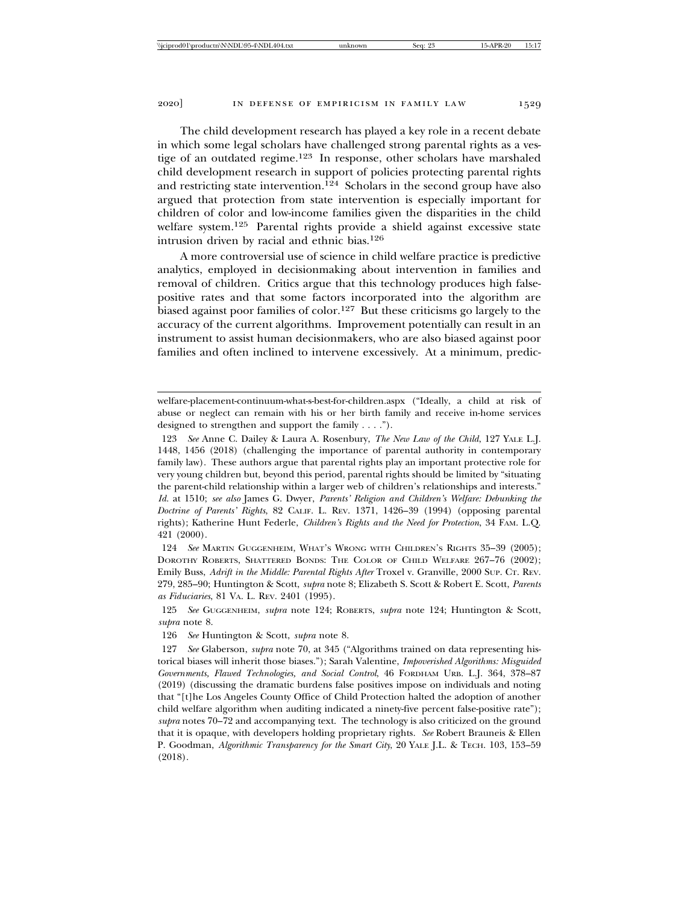The child development research has played a key role in a recent debate in which some legal scholars have challenged strong parental rights as a vestige of an outdated regime.123 In response, other scholars have marshaled child development research in support of policies protecting parental rights and restricting state intervention.<sup>124</sup> Scholars in the second group have also argued that protection from state intervention is especially important for children of color and low-income families given the disparities in the child welfare system.125 Parental rights provide a shield against excessive state intrusion driven by racial and ethnic bias.126

A more controversial use of science in child welfare practice is predictive analytics, employed in decisionmaking about intervention in families and removal of children. Critics argue that this technology produces high falsepositive rates and that some factors incorporated into the algorithm are biased against poor families of color.<sup>127</sup> But these criticisms go largely to the accuracy of the current algorithms. Improvement potentially can result in an instrument to assist human decisionmakers, who are also biased against poor families and often inclined to intervene excessively. At a minimum, predic-

124 *See* MARTIN GUGGENHEIM, WHAT'S WRONG WITH CHILDREN'S RIGHTS 35–39 (2005); DOROTHY ROBERTS, SHATTERED BONDS: THE COLOR OF CHILD WELFARE 267–76 (2002); Emily Buss, *Adrift in the Middle: Parental Rights After* Troxel v. Granville, 2000 SUP. CT. REV. 279, 285–90; Huntington & Scott, *supra* note 8; Elizabeth S. Scott & Robert E. Scott, *Parents as Fiduciaries*, 81 VA. L. REV. 2401 (1995).

welfare-placement-continuum-what-s-best-for-children.aspx ("Ideally, a child at risk of abuse or neglect can remain with his or her birth family and receive in-home services designed to strengthen and support the family . . . .").

<sup>123</sup> *See* Anne C. Dailey & Laura A. Rosenbury, *The New Law of the Child*, 127 YALE L.J. 1448, 1456 (2018) (challenging the importance of parental authority in contemporary family law). These authors argue that parental rights play an important protective role for very young children but, beyond this period, parental rights should be limited by "situating the parent-child relationship within a larger web of children's relationships and interests." *Id.* at 1510; *see also* James G. Dwyer, *Parents' Religion and Children's Welfare: Debunking the Doctrine of Parents' Rights*, 82 CALIF. L. REV. 1371, 1426–39 (1994) (opposing parental rights); Katherine Hunt Federle, *Children's Rights and the Need for Protection*, 34 FAM. L.Q. 421 (2000).

<sup>125</sup> *See* GUGGENHEIM, *supra* note 124; ROBERTS, *supra* note 124; Huntington & Scott, *supra* note 8.

<sup>126</sup> *See* Huntington & Scott, *supra* note 8.

<sup>127</sup> *See* Glaberson, *supra* note 70, at 345 ("Algorithms trained on data representing historical biases will inherit those biases."); Sarah Valentine, *Impoverished Algorithms: Misguided Governments, Flawed Technologies, and Social Control*, 46 FORDHAM URB. L.J. 364, 378–87 (2019) (discussing the dramatic burdens false positives impose on individuals and noting that "[t]he Los Angeles County Office of Child Protection halted the adoption of another child welfare algorithm when auditing indicated a ninety-five percent false-positive rate"); *supra* notes 70–72 and accompanying text. The technology is also criticized on the ground that it is opaque, with developers holding proprietary rights. *See* Robert Brauneis & Ellen P. Goodman, *Algorithmic Transparency for the Smart City*, 20 YALE J.L. & TECH. 103, 153–59 (2018).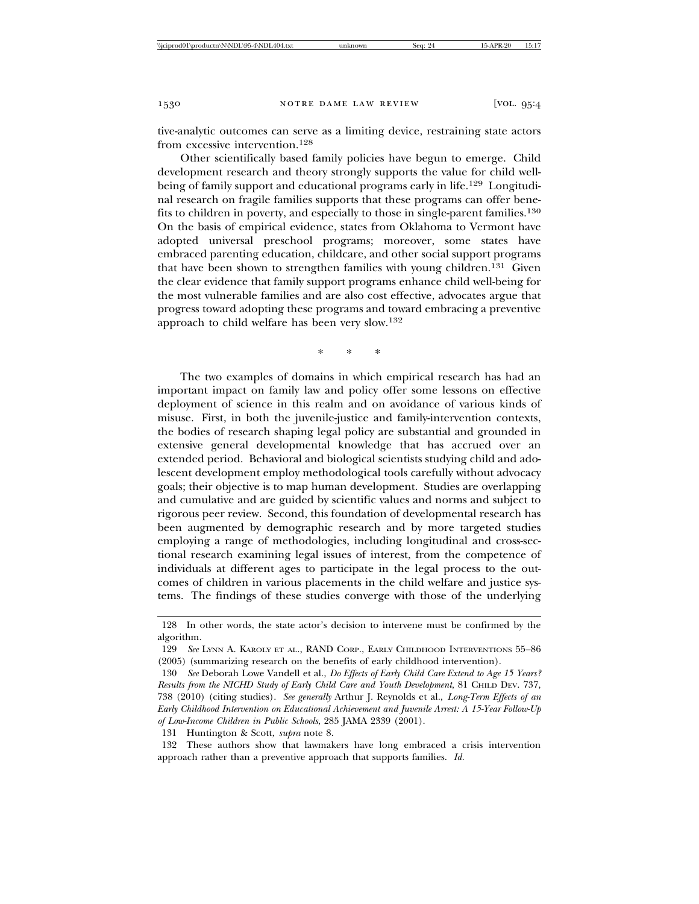tive-analytic outcomes can serve as a limiting device, restraining state actors from excessive intervention.128

Other scientifically based family policies have begun to emerge. Child development research and theory strongly supports the value for child wellbeing of family support and educational programs early in life.<sup>129</sup> Longitudinal research on fragile families supports that these programs can offer benefits to children in poverty, and especially to those in single-parent families.130 On the basis of empirical evidence, states from Oklahoma to Vermont have adopted universal preschool programs; moreover, some states have embraced parenting education, childcare, and other social support programs that have been shown to strengthen families with young children.<sup>131</sup> Given the clear evidence that family support programs enhance child well-being for the most vulnerable families and are also cost effective, advocates argue that progress toward adopting these programs and toward embracing a preventive approach to child welfare has been very slow.132

\*\*\*

The two examples of domains in which empirical research has had an important impact on family law and policy offer some lessons on effective deployment of science in this realm and on avoidance of various kinds of misuse. First, in both the juvenile-justice and family-intervention contexts, the bodies of research shaping legal policy are substantial and grounded in extensive general developmental knowledge that has accrued over an extended period. Behavioral and biological scientists studying child and adolescent development employ methodological tools carefully without advocacy goals; their objective is to map human development. Studies are overlapping and cumulative and are guided by scientific values and norms and subject to rigorous peer review. Second, this foundation of developmental research has been augmented by demographic research and by more targeted studies employing a range of methodologies, including longitudinal and cross-sectional research examining legal issues of interest, from the competence of individuals at different ages to participate in the legal process to the outcomes of children in various placements in the child welfare and justice systems. The findings of these studies converge with those of the underlying

132 These authors show that lawmakers have long embraced a crisis intervention approach rather than a preventive approach that supports families. *Id.*

<sup>128</sup> In other words, the state actor's decision to intervene must be confirmed by the algorithm.

<sup>129</sup> *See* LYNN A. KAROLY ET AL., RAND CORP., EARLY CHILDHOOD INTERVENTIONS 55–86 (2005) (summarizing research on the benefits of early childhood intervention).

<sup>130</sup> *See* Deborah Lowe Vandell et al., *Do Effects of Early Child Care Extend to Age 15 Years? Results from the NICHD Study of Early Child Care and Youth Development*, 81 CHILD DEV. 737, 738 (2010) (citing studies). *See generally* Arthur J. Reynolds et al., *Long-Term Effects of an Early Childhood Intervention on Educational Achievement and Juvenile Arrest: A 15-Year Follow-Up of Low-Income Children in Public Schools*, 285 JAMA 2339 (2001).

<sup>131</sup> Huntington & Scott, *supra* note 8.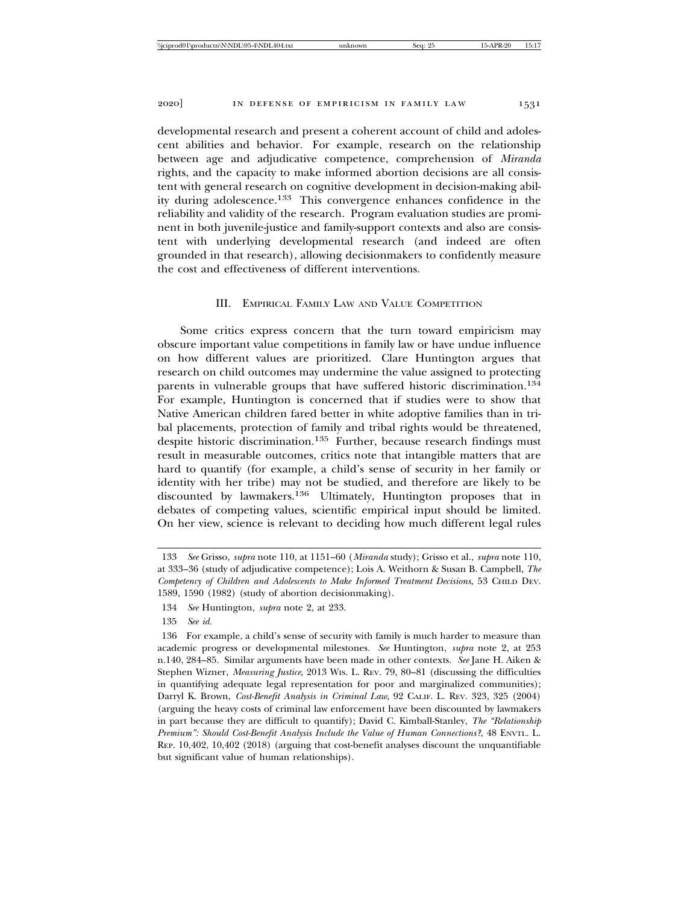developmental research and present a coherent account of child and adolescent abilities and behavior. For example, research on the relationship between age and adjudicative competence, comprehension of *Miranda* rights, and the capacity to make informed abortion decisions are all consistent with general research on cognitive development in decision-making ability during adolescence.133 This convergence enhances confidence in the reliability and validity of the research. Program evaluation studies are prominent in both juvenile-justice and family-support contexts and also are consistent with underlying developmental research (and indeed are often grounded in that research), allowing decisionmakers to confidently measure the cost and effectiveness of different interventions.

## III. EMPIRICAL FAMILY LAW AND VALUE COMPETITION

Some critics express concern that the turn toward empiricism may obscure important value competitions in family law or have undue influence on how different values are prioritized. Clare Huntington argues that research on child outcomes may undermine the value assigned to protecting parents in vulnerable groups that have suffered historic discrimination.134 For example, Huntington is concerned that if studies were to show that Native American children fared better in white adoptive families than in tribal placements, protection of family and tribal rights would be threatened, despite historic discrimination.<sup>135</sup> Further, because research findings must result in measurable outcomes, critics note that intangible matters that are hard to quantify (for example, a child's sense of security in her family or identity with her tribe) may not be studied, and therefore are likely to be discounted by lawmakers.136 Ultimately, Huntington proposes that in debates of competing values, scientific empirical input should be limited. On her view, science is relevant to deciding how much different legal rules

<sup>133</sup> *See* Grisso, *supra* note 110, at 1151–60 (*Miranda* study); Grisso et al., *supra* note 110, at 333–36 (study of adjudicative competence); Lois A. Weithorn & Susan B. Campbell, *The Competency of Children and Adolescents to Make Informed Treatment Decisions*, 53 CHILD DEV. 1589, 1590 (1982) (study of abortion decisionmaking).

<sup>134</sup> *See* Huntington, *supra* note 2, at 233.

<sup>135</sup> *See id.*

<sup>136</sup> For example, a child's sense of security with family is much harder to measure than academic progress or developmental milestones. *See* Huntington, *supra* note 2, at 253 n.140, 284–85. Similar arguments have been made in other contexts. *See* Jane H. Aiken & Stephen Wizner, *Measuring Justice*, 2013 WIS. L. REV. 79, 80–81 (discussing the difficulties in quantifying adequate legal representation for poor and marginalized communities); Darryl K. Brown, *Cost-Benefit Analysis in Criminal Law*, 92 CALIF. L. REV. 323, 325 (2004) (arguing the heavy costs of criminal law enforcement have been discounted by lawmakers in part because they are difficult to quantify); David C. Kimball-Stanley, *The "Relationship Premium": Should Cost-Benefit Analysis Include the Value of Human Connections?*, 48 ENVTL. L. REP. 10,402, 10,402 (2018) (arguing that cost-benefit analyses discount the unquantifiable but significant value of human relationships).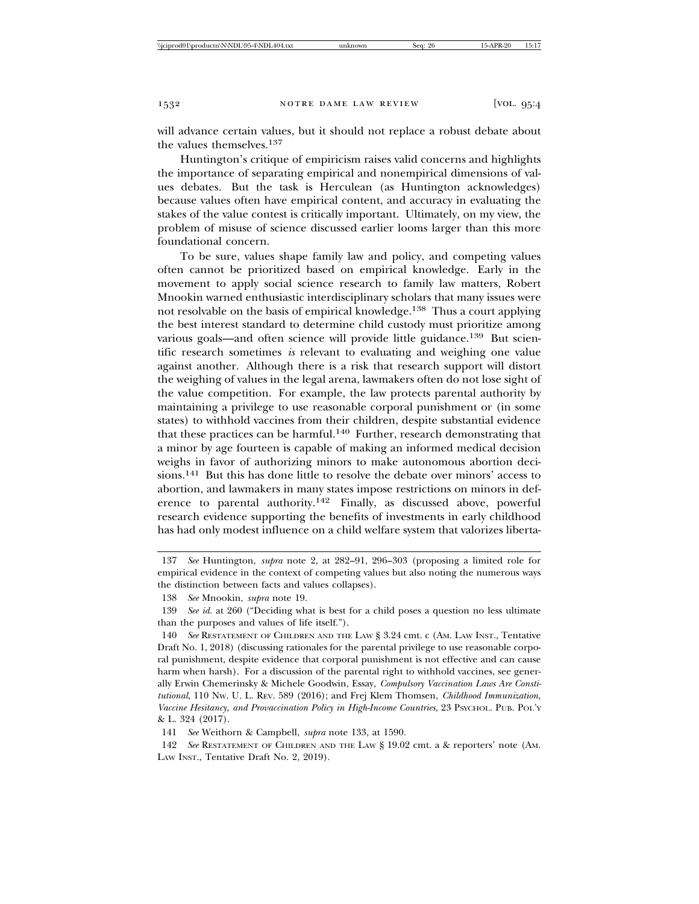will advance certain values, but it should not replace a robust debate about the values themselves.137

Huntington's critique of empiricism raises valid concerns and highlights the importance of separating empirical and nonempirical dimensions of values debates. But the task is Herculean (as Huntington acknowledges) because values often have empirical content, and accuracy in evaluating the stakes of the value contest is critically important. Ultimately, on my view, the problem of misuse of science discussed earlier looms larger than this more foundational concern.

To be sure, values shape family law and policy, and competing values often cannot be prioritized based on empirical knowledge. Early in the movement to apply social science research to family law matters, Robert Mnookin warned enthusiastic interdisciplinary scholars that many issues were not resolvable on the basis of empirical knowledge.138 Thus a court applying the best interest standard to determine child custody must prioritize among various goals—and often science will provide little guidance.<sup>139</sup> But scientific research sometimes *is* relevant to evaluating and weighing one value against another. Although there is a risk that research support will distort the weighing of values in the legal arena, lawmakers often do not lose sight of the value competition. For example, the law protects parental authority by maintaining a privilege to use reasonable corporal punishment or (in some states) to withhold vaccines from their children, despite substantial evidence that these practices can be harmful.<sup>140</sup> Further, research demonstrating that a minor by age fourteen is capable of making an informed medical decision weighs in favor of authorizing minors to make autonomous abortion decisions.141 But this has done little to resolve the debate over minors' access to abortion, and lawmakers in many states impose restrictions on minors in deference to parental authority.142 Finally, as discussed above, powerful research evidence supporting the benefits of investments in early childhood has had only modest influence on a child welfare system that valorizes liberta-

141 *See* Weithorn & Campbell, *supra* note 133, at 1590.

142 *See* RESTATEMENT OF CHILDREN AND THE LAW § 19.02 cmt. a & reporters' note (AM. LAW INST., Tentative Draft No. 2, 2019).

<sup>137</sup> *See* Huntington, *supra* note 2, at 282–91, 296–303 (proposing a limited role for empirical evidence in the context of competing values but also noting the numerous ways the distinction between facts and values collapses).

<sup>138</sup> *See* Mnookin, *supra* note 19.

<sup>139</sup> *See id.* at 260 ("Deciding what is best for a child poses a question no less ultimate than the purposes and values of life itself.").

<sup>140</sup> *See* RESTATEMENT OF CHILDREN AND THE LAW § 3.24 cmt. c (AM. LAW INST., Tentative Draft No. 1, 2018) (discussing rationales for the parental privilege to use reasonable corporal punishment, despite evidence that corporal punishment is not effective and can cause harm when harsh). For a discussion of the parental right to withhold vaccines, see generally Erwin Chemerinsky & Michele Goodwin, Essay, *Compulsory Vaccination Laws Are Constitutional*, 110 NW. U. L. REV. 589 (2016); and Frej Klem Thomsen, *Childhood Immunization,* Vaccine Hesitancy, and Provaccination Policy in High-Income Countries, 23 PSYCHOL. PUB. POL'Y & L. 324 (2017).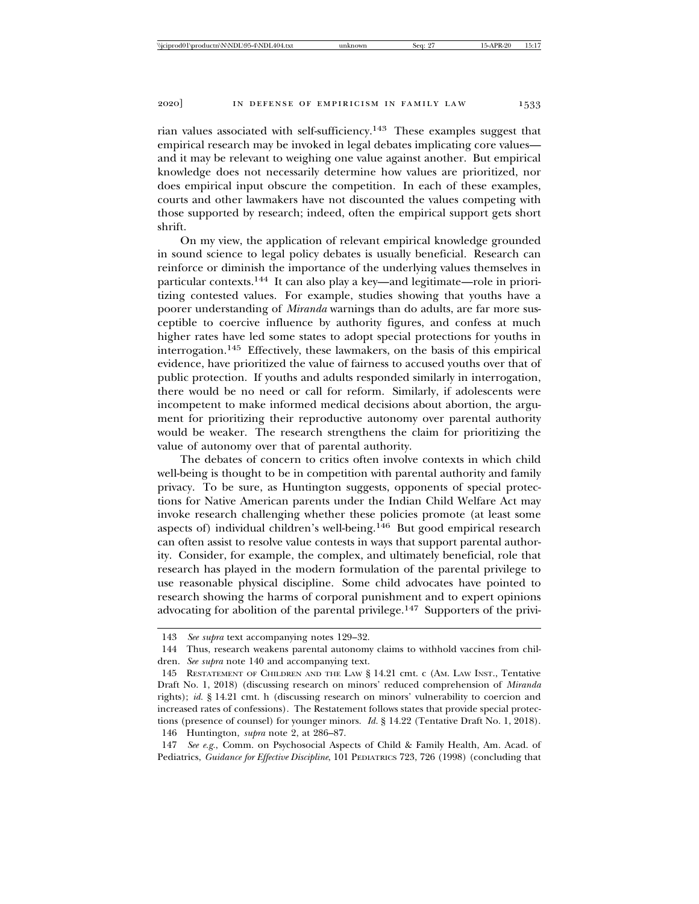rian values associated with self-sufficiency.143 These examples suggest that empirical research may be invoked in legal debates implicating core values and it may be relevant to weighing one value against another. But empirical knowledge does not necessarily determine how values are prioritized, nor does empirical input obscure the competition. In each of these examples,

courts and other lawmakers have not discounted the values competing with those supported by research; indeed, often the empirical support gets short shrift.

On my view, the application of relevant empirical knowledge grounded in sound science to legal policy debates is usually beneficial. Research can reinforce or diminish the importance of the underlying values themselves in particular contexts.144 It can also play a key—and legitimate—role in prioritizing contested values. For example, studies showing that youths have a poorer understanding of *Miranda* warnings than do adults, are far more susceptible to coercive influence by authority figures, and confess at much higher rates have led some states to adopt special protections for youths in interrogation.145 Effectively, these lawmakers, on the basis of this empirical evidence, have prioritized the value of fairness to accused youths over that of public protection. If youths and adults responded similarly in interrogation, there would be no need or call for reform. Similarly, if adolescents were incompetent to make informed medical decisions about abortion, the argument for prioritizing their reproductive autonomy over parental authority would be weaker. The research strengthens the claim for prioritizing the value of autonomy over that of parental authority.

The debates of concern to critics often involve contexts in which child well-being is thought to be in competition with parental authority and family privacy. To be sure, as Huntington suggests, opponents of special protections for Native American parents under the Indian Child Welfare Act may invoke research challenging whether these policies promote (at least some aspects of) individual children's well-being.146 But good empirical research can often assist to resolve value contests in ways that support parental authority. Consider, for example, the complex, and ultimately beneficial, role that research has played in the modern formulation of the parental privilege to use reasonable physical discipline. Some child advocates have pointed to research showing the harms of corporal punishment and to expert opinions advocating for abolition of the parental privilege.147 Supporters of the privi-

<sup>143</sup> *See supra* text accompanying notes 129–32.

<sup>144</sup> Thus, research weakens parental autonomy claims to withhold vaccines from children. *See supra* note 140 and accompanying text.

<sup>145</sup> RESTATEMENT OF CHILDREN AND THE LAW § 14.21 cmt. c (AM. LAW INST., Tentative Draft No. 1, 2018) (discussing research on minors' reduced comprehension of *Miranda* rights); *id.* § 14.21 cmt. h (discussing research on minors' vulnerability to coercion and increased rates of confessions). The Restatement follows states that provide special protections (presence of counsel) for younger minors. *Id.* § 14.22 (Tentative Draft No. 1, 2018). 146 Huntington, *supra* note 2, at 286–87.

<sup>147</sup> *See e.g.*, Comm. on Psychosocial Aspects of Child & Family Health, Am. Acad. of Pediatrics, *Guidance for Effective Discipline*, 101 PEDIATRICS 723, 726 (1998) (concluding that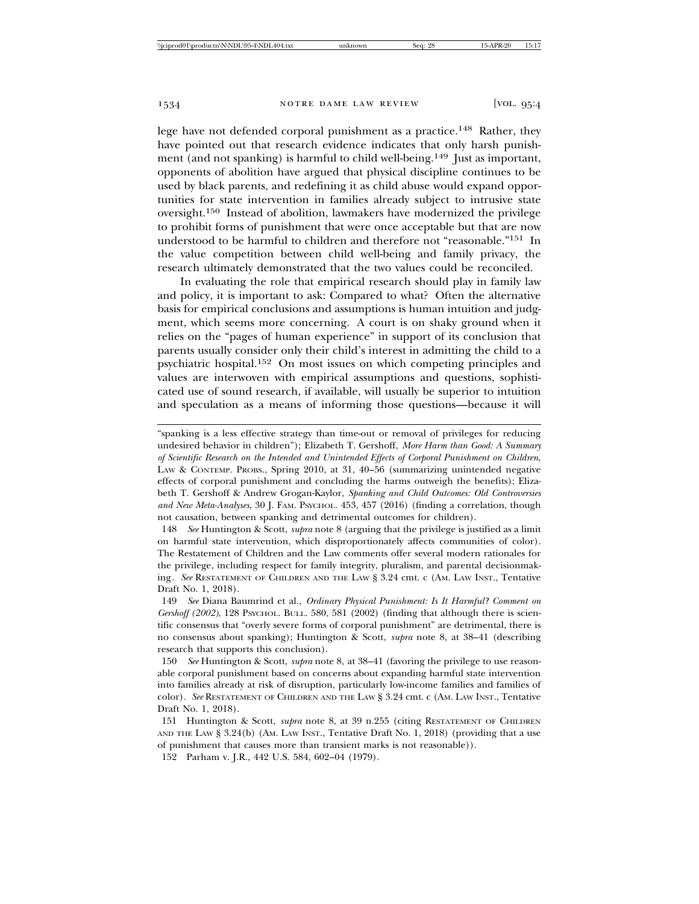lege have not defended corporal punishment as a practice.148 Rather, they have pointed out that research evidence indicates that only harsh punishment (and not spanking) is harmful to child well-being.<sup>149</sup> Just as important, opponents of abolition have argued that physical discipline continues to be used by black parents, and redefining it as child abuse would expand opportunities for state intervention in families already subject to intrusive state oversight.150 Instead of abolition, lawmakers have modernized the privilege to prohibit forms of punishment that were once acceptable but that are now understood to be harmful to children and therefore not "reasonable."151 In the value competition between child well-being and family privacy, the research ultimately demonstrated that the two values could be reconciled.

In evaluating the role that empirical research should play in family law and policy, it is important to ask: Compared to what? Often the alternative basis for empirical conclusions and assumptions is human intuition and judgment, which seems more concerning. A court is on shaky ground when it relies on the "pages of human experience" in support of its conclusion that parents usually consider only their child's interest in admitting the child to a psychiatric hospital.152 On most issues on which competing principles and values are interwoven with empirical assumptions and questions, sophisticated use of sound research, if available, will usually be superior to intuition and speculation as a means of informing those questions—because it will

148 *See* Huntington & Scott, *supra* note 8 (arguing that the privilege is justified as a limit on harmful state intervention, which disproportionately affects communities of color). The Restatement of Children and the Law comments offer several modern rationales for the privilege, including respect for family integrity, pluralism, and parental decisionmaking*. See* RESTATEMENT OF CHILDREN AND THE LAW § 3.24 cmt. c (AM. LAW INST., Tentative Draft No. 1, 2018).

149 *See* Diana Baumrind et al., *Ordinary Physical Punishment: Is It Harmful? Comment on* Gershoff (2002), 128 PsyCHOL. BULL. 580, 581 (2002) (finding that although there is scientific consensus that "overly severe forms of corporal punishment" are detrimental, there is no consensus about spanking); Huntington & Scott, *supra* note 8, at 38–41 (describing research that supports this conclusion).

150 *See* Huntington & Scott, *supra* note 8, at 38–41 (favoring the privilege to use reasonable corporal punishment based on concerns about expanding harmful state intervention into families already at risk of disruption, particularly low-income families and families of color). *See* RESTATEMENT OF CHILDREN AND THE LAW § 3.24 cmt. c (AM. LAW INST., Tentative Draft No. 1, 2018).

151 Huntington & Scott, *supra* note 8, at 39 n.255 (citing RESTATEMENT OF CHILDREN AND THE LAW § 3.24(b) (AM. LAW INST., Tentative Draft No. 1, 2018) (providing that a use of punishment that causes more than transient marks is not reasonable)).

152 Parham v. J.R., 442 U.S. 584, 602–04 (1979).

<sup>&</sup>quot;spanking is a less effective strategy than time-out or removal of privileges for reducing undesired behavior in children"); Elizabeth T. Gershoff, *More Harm than Good: A Summary of Scientific Research on the Intended and Unintended Effects of Corporal Punishment on Children*, LAW & CONTEMP. PROBS., Spring 2010, at 31, 40–56 (summarizing unintended negative effects of corporal punishment and concluding the harms outweigh the benefits); Elizabeth T. Gershoff & Andrew Grogan-Kaylor, *Spanking and Child Outcomes: Old Controversies and New Meta-Analyses*, 30 J. FAM. PSYCHOL. 453, 457 (2016) (finding a correlation, though not causation, between spanking and detrimental outcomes for children).